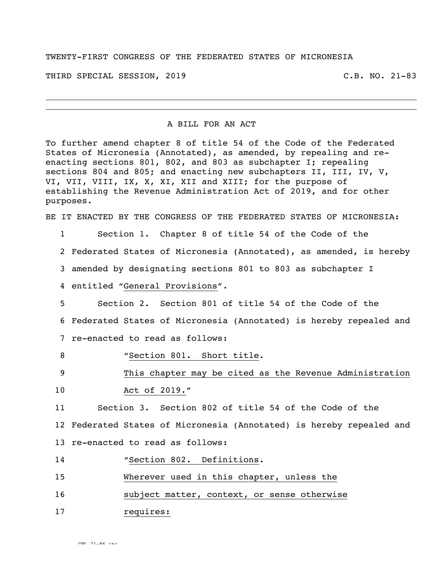TWENTY-FIRST CONGRESS OF THE FEDERATED STATES OF MICRONESIA

THIRD SPECIAL SESSION, 2019 C.B. NO. 21-83

## A BILL FOR AN ACT

To further amend chapter 8 of title 54 of the Code of the Federated States of Micronesia (Annotated), as amended, by repealing and reenacting sections 801, 802, and 803 as subchapter I; repealing sections 804 and 805; and enacting new subchapters II, III, IV, V, VI, VII, VIII, IX, X, XI, XII and XIII; for the purpose of establishing the Revenue Administration Act of 2019, and for other purposes.

BE IT ENACTED BY THE CONGRESS OF THE FEDERATED STATES OF MICRONESIA:

1 Section 1. Chapter 8 of title 54 of the Code of the

2 Federated States of Micronesia (Annotated), as amended, is hereby

3 amended by designating sections 801 to 803 as subchapter I

4 entitled "General Provisions".

5 Section 2. Section 801 of title 54 of the Code of the 6 Federated States of Micronesia (Annotated) is hereby repealed and 7 re-enacted to read as follows:

8 "Section 801. Short title.

9 This chapter may be cited as the Revenue Administration

10 Act of 2019."

11 Section 3. Section 802 of title 54 of the Code of the 12 Federated States of Micronesia (Annotated) is hereby repealed and 13 re-enacted to read as follows:

14 "Section 802. Definitions.

15 Wherever used in this chapter, unless the

16 subject matter, context, or sense otherwise

17 requires: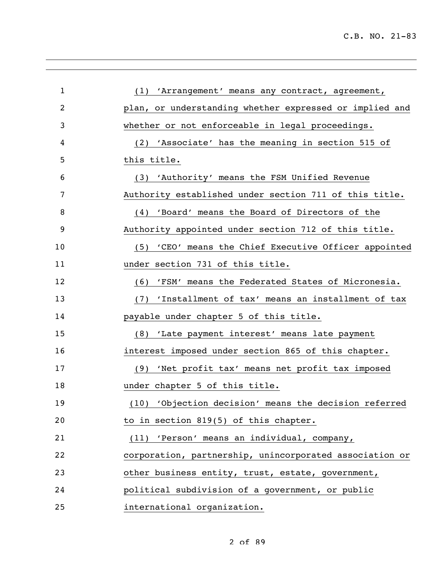| $\mathbf{1}$ | (1) 'Arrangement' means any contract, agreement,        |
|--------------|---------------------------------------------------------|
| 2            | plan, or understanding whether expressed or implied and |
| 3            | whether or not enforceable in legal proceedings.        |
| 4            | (2) 'Associate' has the meaning in section 515 of       |
| 5            | this title.                                             |
| 6            | (3) 'Authority' means the FSM Unified Revenue           |
| 7            | Authority established under section 711 of this title.  |
| 8            | (4) 'Board' means the Board of Directors of the         |
| 9            | Authority appointed under section 712 of this title.    |
| 10           | (5) 'CEO' means the Chief Executive Officer appointed   |
| 11           | under section 731 of this title.                        |
| 12           | 'FSM' means the Federated States of Micronesia.<br>(6)  |
| 13           | (7) 'Installment of tax' means an installment of tax    |
| 14           | payable under chapter 5 of this title.                  |
| 15           | (8) 'Late payment interest' means late payment          |
| 16           | interest imposed under section 865 of this chapter.     |
| 17           | (9) 'Net profit tax' means net profit tax imposed       |
| 18           | under chapter 5 of this title.                          |
| 19           | (10) 'Objection decision' means the decision referred   |
| 20           | to in section 819(5) of this chapter.                   |
| 21           | (11) 'Person' means an individual, company,             |
| 22           | corporation, partnership, unincorporated association or |
| 23           | other business entity, trust, estate, government,       |
| 24           | political subdivision of a government, or public        |
| 25           | international organization.                             |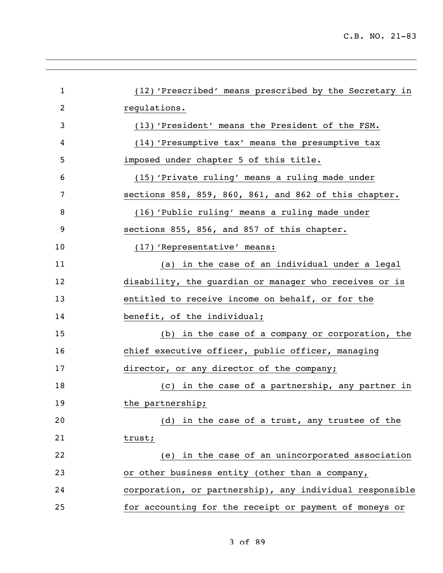| $\mathbf{1}$ | (12) 'Prescribed' means prescribed by the Secretary in   |
|--------------|----------------------------------------------------------|
| 2            | regulations.                                             |
| 3            | (13) 'President' means the President of the FSM.         |
| 4            | (14) 'Presumptive tax' means the presumptive tax         |
| 5            | imposed under chapter 5 of this title.                   |
| 6            | (15) 'Private ruling' means a ruling made under          |
| 7            | sections 858, 859, 860, 861, and 862 of this chapter.    |
| 8            | (16) 'Public ruling' means a ruling made under           |
| 9            | sections 855, 856, and 857 of this chapter.              |
| 10           | (17) 'Representative' means:                             |
| 11           | (a) in the case of an individual under a legal           |
| 12           | disability, the guardian or manager who receives or is   |
| 13           | entitled to receive income on behalf, or for the         |
| 14           | benefit, of the individual;                              |
| 15           | (b) in the case of a company or corporation, the         |
| 16           | chief executive officer, public officer, managing        |
| 17           | director, or any director of the company;                |
| 18           | (c) in the case of a partnership, any partner in         |
| 19           | the partnership;                                         |
| 20           | (d) in the case of a trust, any trustee of the           |
| 21           | trust;                                                   |
| 22           | (e) in the case of an unincorporated association         |
| 23           | or other business entity (other than a company,          |
| 24           | corporation, or partnership), any individual responsible |
| 25           | for accounting for the receipt or payment of moneys or   |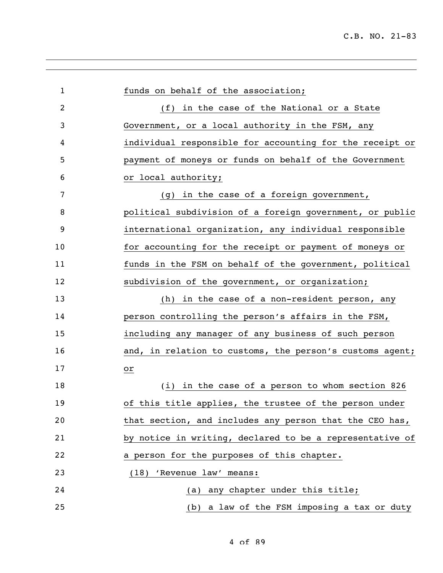| $\mathbf{1}$ | funds on behalf of the association;                      |
|--------------|----------------------------------------------------------|
| 2            | (f) in the case of the National or a State               |
| 3            | Government, or a local authority in the FSM, any         |
| 4            | individual responsible for accounting for the receipt or |
| 5            | payment of moneys or funds on behalf of the Government   |
| 6            | or local authority;                                      |
| 7            | (g) in the case of a foreign government,                 |
| 8            | political subdivision of a foreign government, or public |
| 9            | international organization, any individual responsible   |
| 10           | for accounting for the receipt or payment of moneys or   |
| 11           | funds in the FSM on behalf of the government, political  |
| 12           | subdivision of the government, or organization;          |
| 13           | in the case of a non-resident person, any<br>(h)         |
| 14           | person controlling the person's affairs in the FSM,      |
| 15           | including any manager of any business of such person     |
| 16           | and, in relation to customs, the person's customs agent; |
| 17           | or                                                       |
| 18           | (i) in the case of a person to whom section 826          |
| 19           | of this title applies, the trustee of the person under   |
| 20           | that section, and includes any person that the CEO has,  |
| 21           | by notice in writing, declared to be a representative of |
| 22           | a person for the purposes of this chapter.               |
| 23           | (18) 'Revenue law' means:                                |
| 24           | (a) any chapter under this title;                        |
| 25           | (b) a law of the FSM imposing a tax or duty              |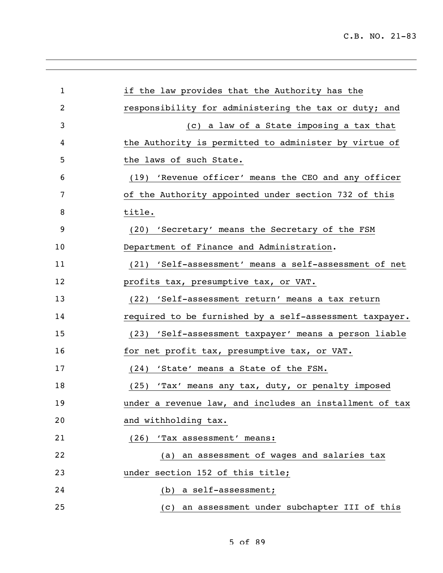| $\mathbf{1}$ | if the law provides that the Authority has the          |
|--------------|---------------------------------------------------------|
| 2            | responsibility for administering the tax or duty; and   |
| 3            | (c) a law of a State imposing a tax that                |
| 4            | the Authority is permitted to administer by virtue of   |
| 5            | the laws of such State.                                 |
| 6            | (19) 'Revenue officer' means the CEO and any officer    |
| 7            | of the Authority appointed under section 732 of this    |
| 8            | title.                                                  |
| 9            | (20) 'Secretary' means the Secretary of the FSM         |
| 10           | Department of Finance and Administration.               |
| 11           | (21) 'Self-assessment' means a self-assessment of net   |
| 12           | profits tax, presumptive tax, or VAT.                   |
| 13           | (22) 'Self-assessment return' means a tax return        |
| 14           | required to be furnished by a self-assessment taxpayer. |
| 15           | (23) 'Self-assessment taxpayer' means a person liable   |
| 16           | for net profit tax, presumptive tax, or VAT.            |
| 17           | (24) 'State' means a State of the FSM.                  |
| 18           | (25) 'Tax' means any tax, duty, or penalty imposed      |
| 19           | under a revenue law, and includes an installment of tax |
| 20           | and withholding tax.                                    |
| 21           | (26) 'Tax assessment' means:                            |
| 22           | (a) an assessment of wages and salaries tax             |
| 23           | under section 152 of this title;                        |
| 24           | (b) a self-assessment;                                  |
| 25           | (c) an assessment under subchapter III of this          |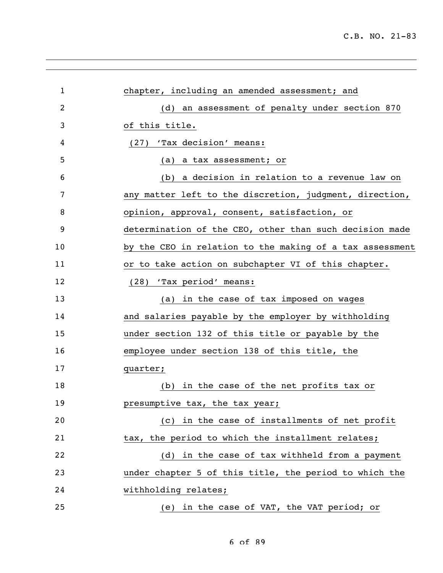| $\mathbf{1}$ | chapter, including an amended assessment; and            |
|--------------|----------------------------------------------------------|
| 2            | (d) an assessment of penalty under section 870           |
| 3            | of this title.                                           |
| 4            | 'Tax decision' means:<br>(27)                            |
| 5            | a tax assessment; or<br>(a)                              |
| 6            | (b) a decision in relation to a revenue law on           |
| 7            | any matter left to the discretion, judgment, direction,  |
| 8            | opinion, approval, consent, satisfaction, or             |
| 9            | determination of the CEO, other than such decision made  |
| 10           | by the CEO in relation to the making of a tax assessment |
| 11           | or to take action on subchapter VI of this chapter.      |
| 12           | 'Tax period' means:<br>(28)                              |
| 13           | (a) in the case of tax imposed on wages                  |
| 14           | and salaries payable by the employer by withholding      |
| 15           | under section 132 of this title or payable by the        |
| 16           | employee under section 138 of this title, the            |
| 17           | quarter;                                                 |
| 18           | in the case of the net profits tax or<br>(b)             |
| 19           | presumptive tax, the tax year;                           |
| 20           | (c) in the case of installments of net profit            |
| 21           | tax, the period to which the installment relates;        |
| 22           | (d) in the case of tax withheld from a payment           |
| 23           | under chapter 5 of this title, the period to which the   |
| 24           | withholding relates;                                     |
| 25           | (e) in the case of VAT, the VAT period; or               |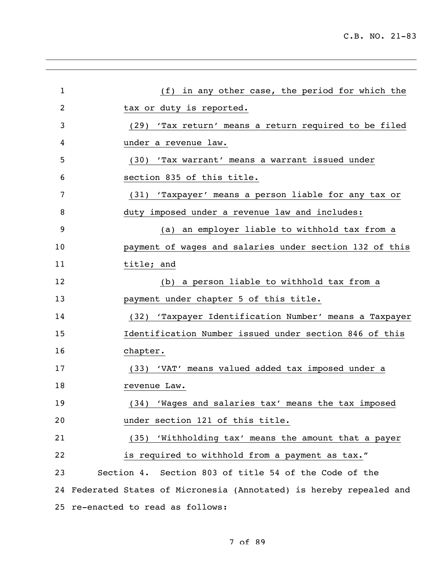| $\mathbf{1}$ | (f) in any other case, the period for which the                      |
|--------------|----------------------------------------------------------------------|
| 2            | tax or duty is reported.                                             |
| 3            | (29) 'Tax return' means a return required to be filed                |
| 4            | under a revenue law.                                                 |
| 5            | (30) 'Tax warrant' means a warrant issued under                      |
| 6            | section 835 of this title.                                           |
| 7            | (31) 'Taxpayer' means a person liable for any tax or                 |
| 8            | duty imposed under a revenue law and includes:                       |
| 9            | (a) an employer liable to withhold tax from a                        |
| 10           | payment of wages and salaries under section 132 of this              |
| 11           | title; and                                                           |
| 12           | (b) a person liable to withhold tax from a                           |
| 13           | payment under chapter 5 of this title.                               |
| 14           | (32) 'Taxpayer Identification Number' means a Taxpayer               |
| 15           | Identification Number issued under section 846 of this               |
| 16           | chapter.                                                             |
| 17           | (33) 'VAT' means valued added tax imposed under a                    |
| 18           | revenue Law.                                                         |
| 19           | (34) 'Wages and salaries tax' means the tax imposed                  |
| 20           | under section 121 of this title.                                     |
| 21           | (35) 'Withholding tax' means the amount that a payer                 |
| 22           | is required to withhold from a payment as tax."                      |
| 23           | Section 4. Section 803 of title 54 of the Code of the                |
|              | 24 Federated States of Micronesia (Annotated) is hereby repealed and |
|              | 25 re-enacted to read as follows:                                    |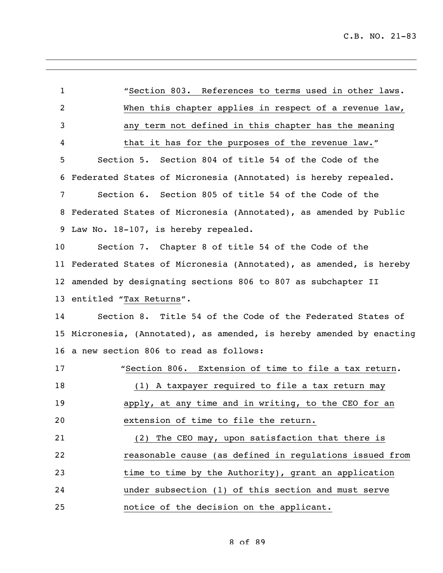"Section 803. References to terms used in other laws. When this chapter applies in respect of a revenue law, any term not defined in this chapter has the meaning that it has for the purposes of the revenue law." Section 5. Section 804 of title 54 of the Code of the Federated States of Micronesia (Annotated) is hereby repealed. Section 6. Section 805 of title 54 of the Code of the Federated States of Micronesia (Annotated), as amended by Public Law No. 18-107, is hereby repealed. Section 7. Chapter 8 of title 54 of the Code of the Federated States of Micronesia (Annotated), as amended, is hereby amended by designating sections 806 to 807 as subchapter II entitled "Tax Returns". Section 8. Title 54 of the Code of the Federated States of Micronesia, (Annotated), as amended, is hereby amended by enacting a new section 806 to read as follows: "Section 806. Extension of time to file a tax return. (1) A taxpayer required to file a tax return may apply, at any time and in writing, to the CEO for an extension of time to file the return. (2) The CEO may, upon satisfaction that there is reasonable cause (as defined in regulations issued from time to time by the Authority), grant an application under subsection (1) of this section and must serve notice of the decision on the applicant.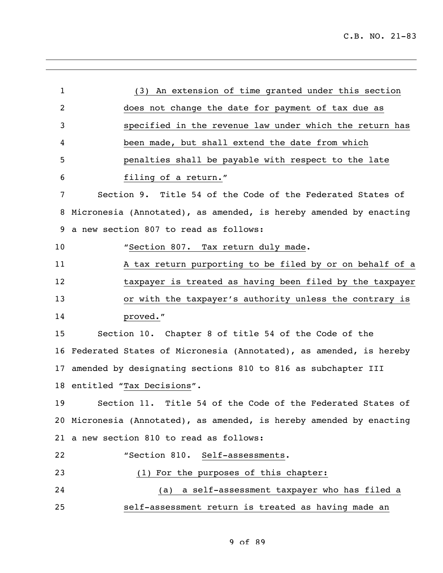| $\mathbf{1}$ | (3) An extension of time granted under this section                  |
|--------------|----------------------------------------------------------------------|
| 2            | does not change the date for payment of tax due as                   |
| 3            | specified in the revenue law under which the return has              |
| 4            | been made, but shall extend the date from which                      |
| 5            | penalties shall be payable with respect to the late                  |
| 6            | filing of a return."                                                 |
| 7            | Section 9. Title 54 of the Code of the Federated States of           |
| 8            | Micronesia (Annotated), as amended, is hereby amended by enacting    |
| 9            | a new section 807 to read as follows:                                |
| 10           | "Section 807. Tax return duly made.                                  |
| 11           | A tax return purporting to be filed by or on behalf of a             |
| 12           | taxpayer is treated as having been filed by the taxpayer             |
| 13           | or with the taxpayer's authority unless the contrary is              |
| 14           | proved."                                                             |
| 15           | Section 10. Chapter 8 of title 54 of the Code of the                 |
| 16           | Federated States of Micronesia (Annotated), as amended, is hereby    |
| 17           | amended by designating sections 810 to 816 as subchapter III         |
| 18           | entitled "Tax Decisions".                                            |
| 19           | Section 11. Title 54 of the Code of the Federated States of          |
|              | 20 Micronesia (Annotated), as amended, is hereby amended by enacting |
|              | 21 a new section 810 to read as follows:                             |
| 22           | "Section 810. Self-assessments.                                      |
| 23           | (1) For the purposes of this chapter:                                |
| 24           | a self-assessment taxpayer who has filed a<br>(a)                    |
| 25           | self-assessment return is treated as having made an                  |
|              |                                                                      |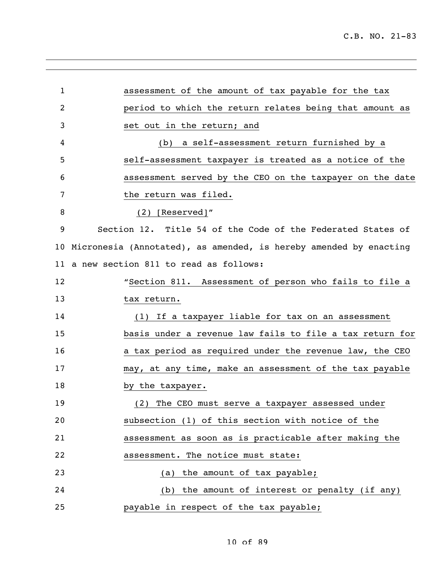| 1              | assessment of the amount of tax payable for the tax               |
|----------------|-------------------------------------------------------------------|
| $\overline{2}$ | period to which the return relates being that amount as           |
| 3              | set out in the return; and                                        |
| 4              | (b) a self-assessment return furnished by a                       |
| 5              | self-assessment taxpayer is treated as a notice of the            |
| 6              | assessment served by the CEO on the taxpayer on the date          |
| 7              | the return was filed.                                             |
| 8              | $(2)$ [Reserved]"                                                 |
| 9              | Section 12. Title 54 of the Code of the Federated States of       |
| 10             | Micronesia (Annotated), as amended, is hereby amended by enacting |
|                | 11 a new section 811 to read as follows:                          |
| 12             | "Section 811. Assessment of person who fails to file a            |
| 13             | tax return.                                                       |
| 14             | (1) If a taxpayer liable for tax on an assessment                 |
| 15             | basis under a revenue law fails to file a tax return for          |
| 16             | a tax period as required under the revenue law, the CEO           |
| 17             | may, at any time, make an assessment of the tax payable           |
| 18             | by the taxpayer.                                                  |
| 19             | (2) The CEO must serve a taxpayer assessed under                  |
| 20             | subsection (1) of this section with notice of the                 |
| 21             | assessment as soon as is practicable after making the             |
| 22             | assessment. The notice must state:                                |
| 23             | (a) the amount of tax payable;                                    |
| 24             | (b) the amount of interest or penalty (if any)                    |
| 25             | payable in respect of the tax payable;                            |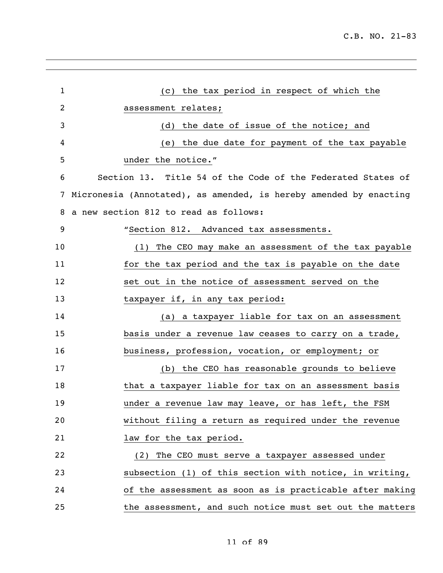| $\mathbf{1}$ | (c) the tax period in respect of which the                        |
|--------------|-------------------------------------------------------------------|
| 2            | assessment relates;                                               |
| 3            | (d) the date of issue of the notice; and                          |
| 4            | the due date for payment of the tax payable<br>(e)                |
| 5            | under the notice."                                                |
| 6            | Section 13. Title 54 of the Code of the Federated States of       |
| 7            | Micronesia (Annotated), as amended, is hereby amended by enacting |
| 8            | a new section 812 to read as follows:                             |
| 9            | "Section 812. Advanced tax assessments.                           |
| 10           | The CEO may make an assessment of the tax payable<br>(1)          |
| 11           | for the tax period and the tax is payable on the date             |
| 12           | set out in the notice of assessment served on the                 |
| 13           | taxpayer if, in any tax period:                                   |
| 14           | (a) a taxpayer liable for tax on an assessment                    |
| 15           | basis under a revenue law ceases to carry on a trade,             |
| 16           | business, profession, vocation, or employment; or                 |
| 17           | (b) the CEO has reasonable grounds to believe                     |
| 18           | that a taxpayer liable for tax on an assessment basis             |
| 19           | under a revenue law may leave, or has left, the FSM               |
| 20           | without filing a return as required under the revenue             |
| 21           | law for the tax period.                                           |
| 22           | (2) The CEO must serve a taxpayer assessed under                  |
| 23           | subsection (1) of this section with notice, in writing,           |
| 24           | of the assessment as soon as is practicable after making          |
| 25           | the assessment, and such notice must set out the matters          |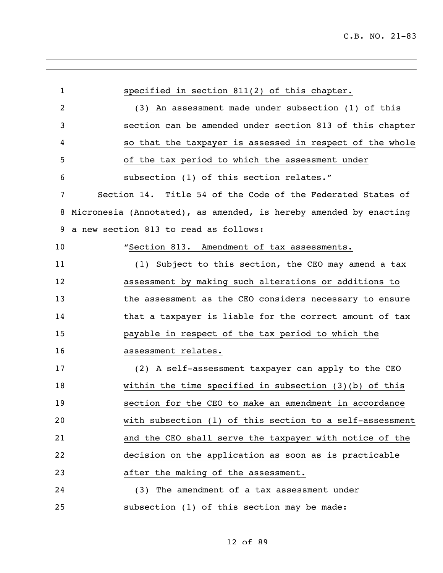| $\mathbf 1$    | specified in section 811(2) of this chapter.                      |
|----------------|-------------------------------------------------------------------|
| $\overline{2}$ | (3) An assessment made under subsection (1) of this               |
| 3              | section can be amended under section 813 of this chapter          |
| 4              | so that the taxpayer is assessed in respect of the whole          |
| 5              | of the tax period to which the assessment under                   |
| 6              | subsection (1) of this section relates."                          |
| 7              | Section 14. Title 54 of the Code of the Federated States of       |
| 8              | Micronesia (Annotated), as amended, is hereby amended by enacting |
| 9              | a new section 813 to read as follows:                             |
| 10             | "Section 813. Amendment of tax assessments.                       |
| 11             | (1) Subject to this section, the CEO may amend a tax              |
| 12             | assessment by making such alterations or additions to             |
| 13             | the assessment as the CEO considers necessary to ensure           |
| 14             | that a taxpayer is liable for the correct amount of tax           |
| 15             | payable in respect of the tax period to which the                 |
| 16             | assessment relates.                                               |
| 17             | (2) A self-assessment taxpayer can apply to the CEO               |
| 18             | within the time specified in subsection $(3)(b)$ of this          |
| 19             | section for the CEO to make an amendment in accordance            |
| 20             | with subsection (1) of this section to a self-assessment          |
| 21             | and the CEO shall serve the taxpayer with notice of the           |
| 22             | decision on the application as soon as is practicable             |
| 23             | after the making of the assessment.                               |
| 24             | (3) The amendment of a tax assessment under                       |
| 25             | subsection (1) of this section may be made:                       |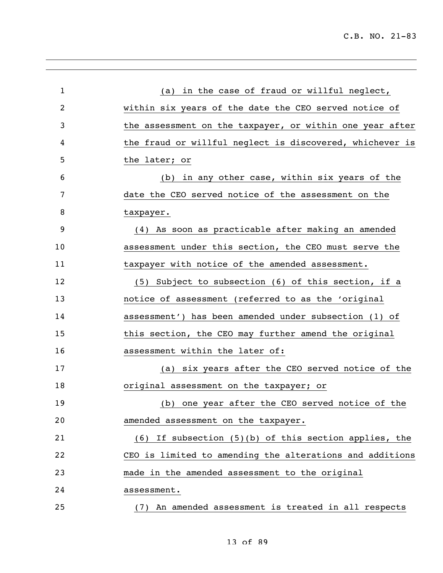| $\mathbf{1}$ | (a) in the case of fraud or willful neglect,              |
|--------------|-----------------------------------------------------------|
| 2            | within six years of the date the CEO served notice of     |
| 3            | the assessment on the taxpayer, or within one year after  |
| 4            | the fraud or willful neglect is discovered, whichever is  |
| 5            | the later; or                                             |
| 6            | (b) in any other case, within six years of the            |
| 7            | date the CEO served notice of the assessment on the       |
| 8            | taxpayer.                                                 |
| 9            | (4) As soon as practicable after making an amended        |
| 10           | assessment under this section, the CEO must serve the     |
| 11           | taxpayer with notice of the amended assessment.           |
| 12           | (5) Subject to subsection (6) of this section, if a       |
| 13           | notice of assessment (referred to as the 'original        |
| 14           | assessment') has been amended under subsection (1) of     |
| 15           | this section, the CEO may further amend the original      |
| 16           | assessment within the later of:                           |
| 17           | (a) six years after the CEO served notice of the          |
| 18           | original assessment on the taxpayer; or                   |
| 19           | (b) one year after the CEO served notice of the<br>(d)    |
| 20           | amended assessment on the taxpayer.                       |
| 21           | $(6)$ If subsection $(5)(b)$ of this section applies, the |
| 22           | CEO is limited to amending the alterations and additions  |
| 23           | made in the amended assessment to the original            |
| 24           | assessment.                                               |
| 25           | (7) An amended assessment is treated in all respects      |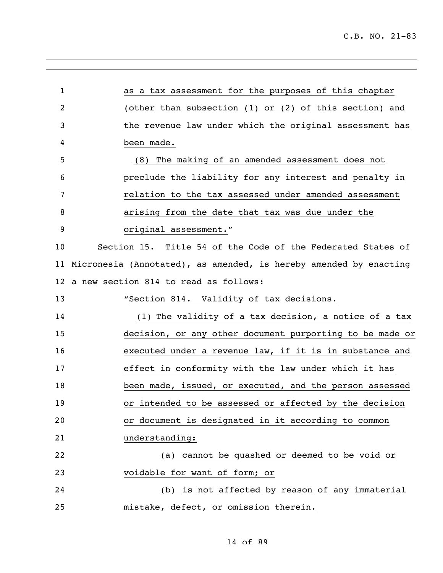| $\mathbf{1}$ | as a tax assessment for the purposes of this chapter              |
|--------------|-------------------------------------------------------------------|
| 2            | (other than subsection (1) or (2) of this section) and            |
| 3            | the revenue law under which the original assessment has           |
| 4            | been made.                                                        |
| 5            | (8) The making of an amended assessment does not                  |
| 6            | preclude the liability for any interest and penalty in            |
| 7            | relation to the tax assessed under amended assessment             |
| 8            | arising from the date that tax was due under the                  |
| 9            | original assessment."                                             |
| 10           | Section 15. Title 54 of the Code of the Federated States of       |
| 11           | Micronesia (Annotated), as amended, is hereby amended by enacting |
| 12           | a new section 814 to read as follows:                             |
| 13           | "Section 814. Validity of tax decisions.                          |
| 14           | (1) The validity of a tax decision, a notice of a tax             |
| 15           | decision, or any other document purporting to be made or          |
| 16           | executed under a revenue law, if it is in substance and           |
| 17           | effect in conformity with the law under which it has              |
| 18           | been made, issued, or executed, and the person assessed           |
| 19           | or intended to be assessed or affected by the decision            |
| 20           | or document is designated in it according to common               |
| 21           | understanding:                                                    |
| 22           | (a) cannot be quashed or deemed to be void or                     |
| 23           | voidable for want of form; or                                     |
| 24           | (b) is not affected by reason of any immaterial                   |
| 25           | mistake, defect, or omission therein.                             |
|              |                                                                   |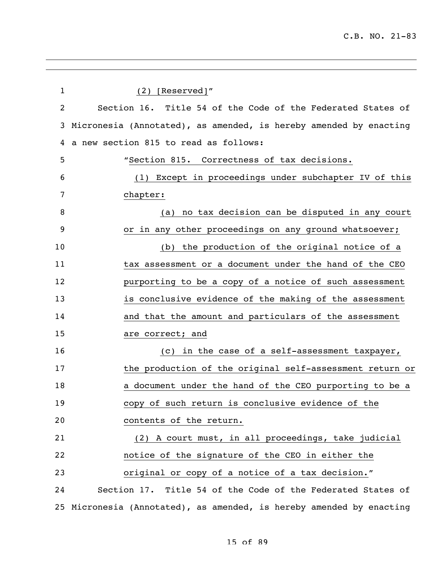| $\mathbf 1$ | $(2)$ [Reserved]"                                                 |
|-------------|-------------------------------------------------------------------|
| 2           | Section 16. Title 54 of the Code of the Federated States of       |
| 3           | Micronesia (Annotated), as amended, is hereby amended by enacting |
| 4           | a new section 815 to read as follows:                             |
| 5           | "Section 815. Correctness of tax decisions.                       |
| 6           | Except in proceedings under subchapter IV of this<br>(1)          |
| 7           | chapter:                                                          |
| 8           | no tax decision can be disputed in any court<br>(a)               |
| 9           | or in any other proceedings on any ground whatsoever;             |
| 10          | the production of the original notice of a<br>(b)                 |
| 11          | tax assessment or a document under the hand of the CEO            |
| 12          | purporting to be a copy of a notice of such assessment            |
| 13          | is conclusive evidence of the making of the assessment            |
| 14          | and that the amount and particulars of the assessment             |
| 15          | are correct; and                                                  |
| 16          | in the case of a self-assessment taxpayer,<br>(C)                 |
| 17          | the production of the original self-assessment return or          |
| 18          | a document under the hand of the CEO purporting to be a           |
| 19          | copy of such return is conclusive evidence of the                 |
| 20          | contents of the return.                                           |
| 21          | (2) A court must, in all proceedings, take judicial               |
| 22          | notice of the signature of the CEO in either the                  |
| 23          | original or copy of a notice of a tax decision."                  |
| 24          | Section 17. Title 54 of the Code of the Federated States of       |
| 25          | Micronesia (Annotated), as amended, is hereby amended by enacting |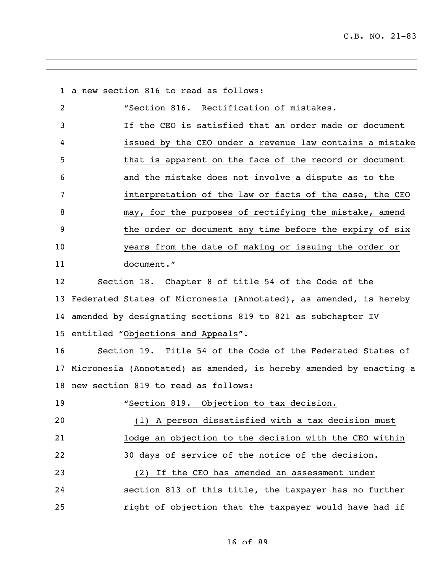a new section 816 to read as follows:

| 2               | "Section 816. Rectification of mistakes.                 |
|-----------------|----------------------------------------------------------|
| 3               | If the CEO is satisfied that an order made or document   |
| 4               | issued by the CEO under a revenue law contains a mistake |
| 5               | that is apparent on the face of the record or document   |
| 6               | and the mistake does not involve a dispute as to the     |
| 7               | interpretation of the law or facts of the case, the CEO  |
| 8               | may, for the purposes of rectifying the mistake, amend   |
| 9               | the order or document any time before the expiry of six  |
| 10 <sup>°</sup> | years from the date of making or issuing the order or    |
| 11              | document."                                               |
| 12              | Section 18. Chapter 8 of title 54 of the Code of the     |

 Federated States of Micronesia (Annotated), as amended, is hereby amended by designating sections 819 to 821 as subchapter IV entitled "Objections and Appeals".

 Section 19. Title 54 of the Code of the Federated States of Micronesia (Annotated) as amended, is hereby amended by enacting a new section 819 to read as follows:

 "Section 819. Objection to tax decision. (1) A person dissatisfied with a tax decision must lodge an objection to the decision with the CEO within 30 days of service of the notice of the decision. (2) If the CEO has amended an assessment under section 813 of this title, the taxpayer has no further right of objection that the taxpayer would have had if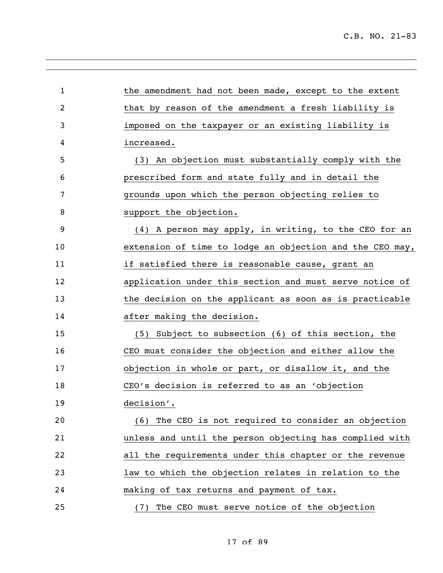| $\mathbf{1}$   | the amendment had not been made, except to the extent    |
|----------------|----------------------------------------------------------|
| $\overline{c}$ | that by reason of the amendment a fresh liability is     |
| 3              | imposed on the taxpayer or an existing liability is      |
| 4              | increased.                                               |
| 5              | (3) An objection must substantially comply with the      |
| 6              | prescribed form and state fully and in detail the        |
| 7              | grounds upon which the person objecting relies to        |
| 8              | support the objection.                                   |
| 9              | (4) A person may apply, in writing, to the CEO for an    |
| 10             | extension of time to lodge an objection and the CEO may, |
| 11             | if satisfied there is reasonable cause, grant an         |
| 12             | application under this section and must serve notice of  |
| 13             | the decision on the applicant as soon as is practicable  |
| 14             | after making the decision.                               |
| 15             | (5) Subject to subsection (6) of this section, the       |
| 16             | CEO must consider the objection and either allow the     |
| 17             | objection in whole or part, or disallow it, and the      |
| 18             | CEO's decision is referred to as an 'objection           |
| 19             | decision'.                                               |
| 20             | (6) The CEO is not required to consider an objection     |
| 21             | unless and until the person objecting has complied with  |
| 22             | all the requirements under this chapter or the revenue   |
| 23             | law to which the objection relates in relation to the    |
| 24             | making of tax returns and payment of tax.                |
| 25             | (7) The CEO must serve notice of the objection           |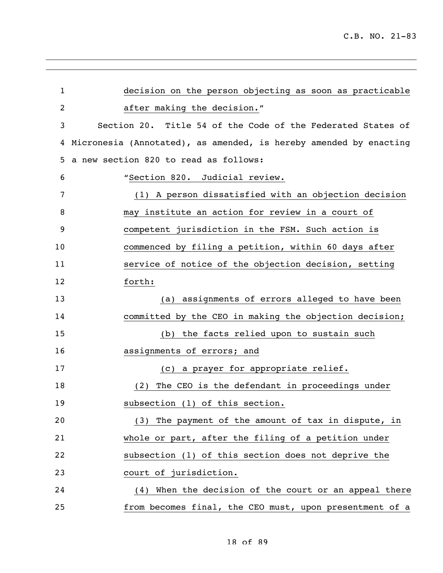| $\mathbf 1$ | decision on the person objecting as soon as practicable           |
|-------------|-------------------------------------------------------------------|
| 2           | after making the decision."                                       |
| 3           | Section 20. Title 54 of the Code of the Federated States of       |
| 4           | Micronesia (Annotated), as amended, is hereby amended by enacting |
| 5           | a new section 820 to read as follows:                             |
| 6           | "Section 820. Judicial review.                                    |
| 7           | (1) A person dissatisfied with an objection decision              |
| 8           | may institute an action for review in a court of                  |
| 9           | competent jurisdiction in the FSM. Such action is                 |
| 10          | commenced by filing a petition, within 60 days after              |
| 11          | service of notice of the objection decision, setting              |
| 12          | forth:                                                            |
| 13          | (a) assignments of errors alleged to have been                    |
| 14          | committed by the CEO in making the objection decision;            |
| 15          | the facts relied upon to sustain such<br>(b)                      |
| 16          | assignments of errors; and                                        |
| 17          | (c) a prayer for appropriate relief.                              |
| 18          | The CEO is the defendant in proceedings under<br>(2)              |
| 19          | subsection (1) of this section.                                   |
| 20          | (3) The payment of the amount of tax in dispute, in               |
| 21          | whole or part, after the filing of a petition under               |
| 22          | subsection (1) of this section does not deprive the               |
| 23          | court of jurisdiction.                                            |
| 24          | (4) When the decision of the court or an appeal there             |
| 25          | from becomes final, the CEO must, upon presentment of a           |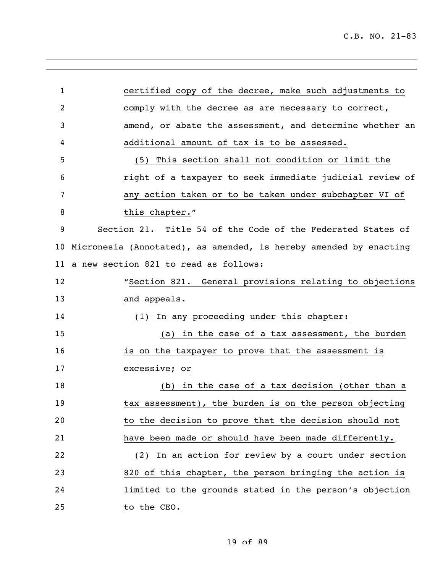| $\mathbf{1}$   | certified copy of the decree, make such adjustments to            |
|----------------|-------------------------------------------------------------------|
| $\overline{2}$ | comply with the decree as are necessary to correct,               |
| 3              | amend, or abate the assessment, and determine whether an          |
| 4              | additional amount of tax is to be assessed.                       |
| 5              | This section shall not condition or limit the<br>(5)              |
| 6              | right of a taxpayer to seek immediate judicial review of          |
| 7              | any action taken or to be taken under subchapter VI of            |
| 8              | this chapter."                                                    |
| 9              | Section 21. Title 54 of the Code of the Federated States of       |
| 10             | Micronesia (Annotated), as amended, is hereby amended by enacting |
| 11             | a new section 821 to read as follows:                             |
| 12             | "Section 821. General provisions relating to objections           |
| 13             | and appeals.                                                      |
| 14             | (1) In any proceeding under this chapter:                         |
| 15             | (a) in the case of a tax assessment, the burden                   |
| 16             | is on the taxpayer to prove that the assessment is                |
| 17             | excessive; or                                                     |
| 18             | (b) in the case of a tax decision (other than a                   |
| 19             | tax assessment), the burden is on the person objecting            |
| 20             | to the decision to prove that the decision should not             |
| 21             | have been made or should have been made differently.              |
| 22             | (2) In an action for review by a court under section              |
| 23             | 820 of this chapter, the person bringing the action is            |
| 24             | limited to the grounds stated in the person's objection           |
| 25             | to the CEO.                                                       |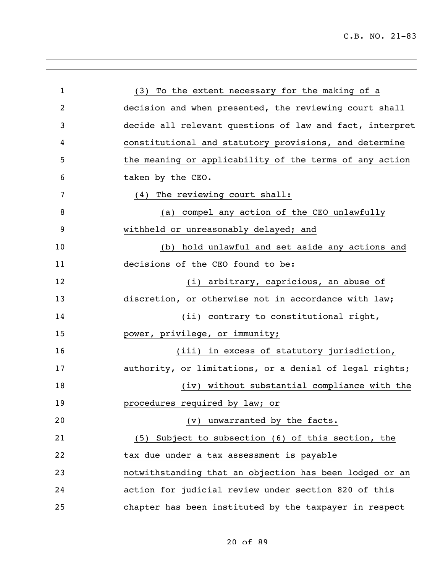| $\mathbf{1}$ | (3) To the extent necessary for the making of a          |
|--------------|----------------------------------------------------------|
| 2            | decision and when presented, the reviewing court shall   |
| 3            | decide all relevant questions of law and fact, interpret |
| 4            | constitutional and statutory provisions, and determine   |
| 5            | the meaning or applicability of the terms of any action  |
| 6            | taken by the CEO.                                        |
| 7            | (4) The reviewing court shall:                           |
| 8            | compel any action of the CEO unlawfully<br>(a)           |
| 9            | withheld or unreasonably delayed; and                    |
| 10           | hold unlawful and set aside any actions and<br>(b)       |
| 11           | decisions of the CEO found to be:                        |
| 12           | (i) arbitrary, capricious, an abuse of                   |
| 13           | discretion, or otherwise not in accordance with law;     |
| 14           | (ii) contrary to constitutional right,                   |
| 15           | power, privilege, or immunity;                           |
| 16           | (iii) in excess of statutory jurisdiction,               |
| 17           | authority, or limitations, or a denial of legal rights;  |
| 18           | (iv) without substantial compliance with the             |
| 19           | procedures required by law; or                           |
| 20           | (v) unwarranted by the facts.                            |
| 21           | (5) Subject to subsection (6) of this section, the       |
| 22           | tax due under a tax assessment is payable                |
| 23           | notwithstanding that an objection has been lodged or an  |
| 24           | action for judicial review under section 820 of this     |
| 25           | chapter has been instituted by the taxpayer in respect   |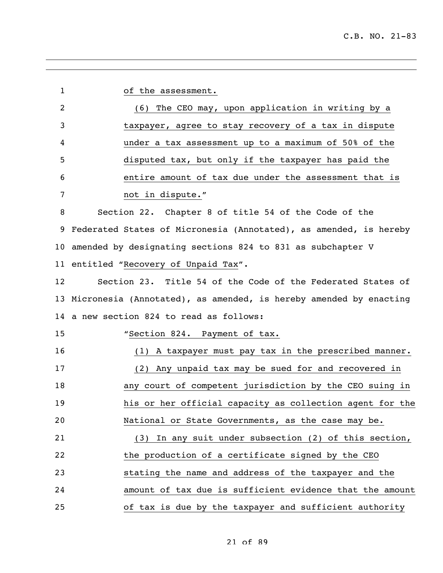| 1  | of the assessment.                                                   |
|----|----------------------------------------------------------------------|
| 2  | (6) The CEO may, upon application in writing by a                    |
| 3  | taxpayer, agree to stay recovery of a tax in dispute                 |
| 4  | under a tax assessment up to a maximum of 50% of the                 |
| 5  | disputed tax, but only if the taxpayer has paid the                  |
| 6  | entire amount of tax due under the assessment that is                |
| 7  | not in dispute."                                                     |
| 8  | Section 22. Chapter 8 of title 54 of the Code of the                 |
| 9  | Federated States of Micronesia (Annotated), as amended, is hereby    |
|    | 10 amended by designating sections 824 to 831 as subchapter V        |
|    | 11 entitled "Recovery of Unpaid Tax".                                |
| 12 | Section 23. Title 54 of the Code of the Federated States of          |
|    | 13 Micronesia (Annotated), as amended, is hereby amended by enacting |
|    | 14 a new section 824 to read as follows:                             |
| 15 | "Section 824. Payment of tax.                                        |
| 16 | (1) A taxpayer must pay tax in the prescribed manner.                |
| 17 | (2) Any unpaid tax may be sued for and recovered in                  |
| 18 | any court of competent jurisdiction by the CEO suing in              |
| 19 | his or her official capacity as collection agent for the             |
| 20 | National or State Governments, as the case may be.                   |
| 21 | (3) In any suit under subsection (2) of this section,                |
| 22 | the production of a certificate signed by the CEO                    |
| 23 | stating the name and address of the taxpayer and the                 |
| 24 | amount of tax due is sufficient evidence that the amount             |
| 25 | of tax is due by the taxpayer and sufficient authority               |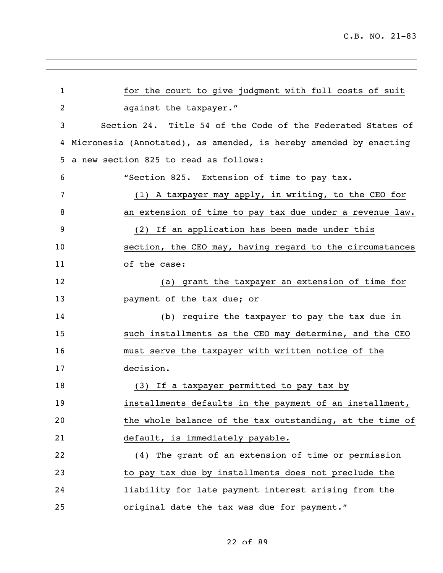| $\mathbf 1$ | for the court to give judgment with full costs of suit            |
|-------------|-------------------------------------------------------------------|
| 2           | against the taxpayer."                                            |
| 3           | Section 24. Title 54 of the Code of the Federated States of       |
| 4           | Micronesia (Annotated), as amended, is hereby amended by enacting |
| 5.          | a new section 825 to read as follows:                             |
| 6           | "Section 825. Extension of time to pay tax.                       |
| 7           | (1) A taxpayer may apply, in writing, to the CEO for              |
| 8           | an extension of time to pay tax due under a revenue law.          |
| 9           | (2) If an application has been made under this                    |
| 10          | section, the CEO may, having regard to the circumstances          |
| 11          | of the case:                                                      |
| 12          | (a) grant the taxpayer an extension of time for                   |
| 13          | payment of the tax due; or                                        |
| 14          | (b) require the taxpayer to pay the tax due in                    |
| 15          | such installments as the CEO may determine, and the CEO           |
| 16          | must serve the taxpayer with written notice of the                |
| 17          | decision.                                                         |
| 18          | (3) If a taxpayer permitted to pay tax by                         |
| 19          | installments defaults in the payment of an installment,           |
| 20          | the whole balance of the tax outstanding, at the time of          |
| 21          | default, is immediately payable.                                  |
| 22          | (4) The grant of an extension of time or permission               |
| 23          | to pay tax due by installments does not preclude the              |
| 24          | liability for late payment interest arising from the              |
| 25          | original date the tax was due for payment."                       |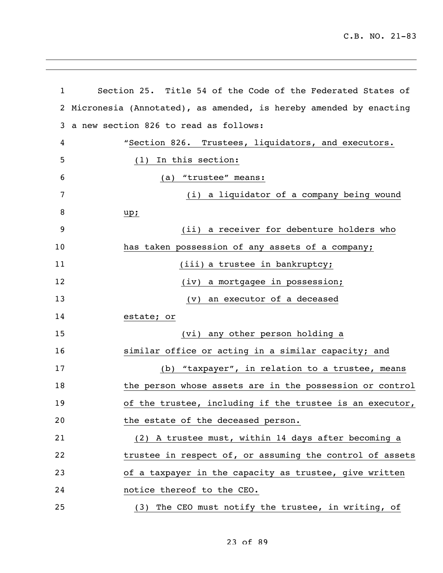| 1            | Section 25. Title 54 of the Code of the Federated States of       |
|--------------|-------------------------------------------------------------------|
| $\mathbf{2}$ | Micronesia (Annotated), as amended, is hereby amended by enacting |
| 3            | a new section 826 to read as follows:                             |
| 4            | "Section 826. Trustees, liquidators, and executors.               |
| 5            | (1) In this section:                                              |
| 6            | (a) "trustee" means:                                              |
| 7            | (i) a liquidator of a company being wound                         |
| 8            | up;                                                               |
| 9            | (ii) a receiver for debenture holders who                         |
| 10           | has taken possession of any assets of a company;                  |
| 11           | (iii) a trustee in bankruptcy;                                    |
| 12           | (iv) a mortgagee in possession;                                   |
| 13           | (v) an executor of a deceased                                     |
| 14           | estate; or                                                        |
| 15           | (vi) any other person holding a                                   |
| 16           | similar office or acting in a similar capacity; and               |
| 17           | (b) "taxpayer", in relation to a trustee, means                   |
| 18           | the person whose assets are in the possession or control          |
| 19           | of the trustee, including if the trustee is an executor,          |
| 20           | the estate of the deceased person.                                |
| 21           | (2) A trustee must, within 14 days after becoming a               |
| 22           | trustee in respect of, or assuming the control of assets          |
| 23           | of a taxpayer in the capacity as trustee, give written            |
| 24           | notice thereof to the CEO.                                        |
| 25           | (3) The CEO must notify the trustee, in writing, of               |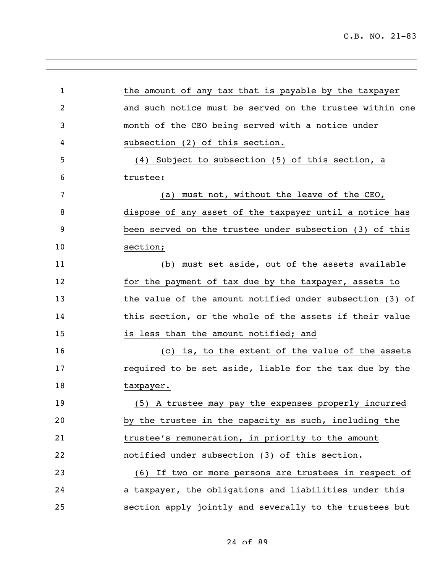| $\mathbf{1}$ | the amount of any tax that is payable by the taxpayer    |
|--------------|----------------------------------------------------------|
| 2            | and such notice must be served on the trustee within one |
| 3            | month of the CEO being served with a notice under        |
| 4            | subsection (2) of this section.                          |
| 5            | (4) Subject to subsection (5) of this section, a         |
| 6            | trustee:                                                 |
| 7            | (a) must not, without the leave of the CEO,              |
|              |                                                          |
| 8            | dispose of any asset of the taxpayer until a notice has  |
| 9            | been served on the trustee under subsection (3) of this  |
| 10           | section;                                                 |
| 11           | (b) must set aside, out of the assets available          |
| 12           | for the payment of tax due by the taxpayer, assets to    |
| 13           | the value of the amount notified under subsection (3) of |
| 14           | this section, or the whole of the assets if their value  |
| 15           | is less than the amount notified; and                    |
| 16           | (c) is, to the extent of the value of the assets         |
| 17           | required to be set aside, liable for the tax due by the  |
| 18           | taxpayer.                                                |
| 19           | (5) A trustee may pay the expenses properly incurred     |
| 20           | by the trustee in the capacity as such, including the    |
| 21           | trustee's remuneration, in priority to the amount        |
| 22           | notified under subsection (3) of this section.           |
| 23           | (6) If two or more persons are trustees in respect of    |
| 24           | a taxpayer, the obligations and liabilities under this   |
| 25           | section apply jointly and severally to the trustees but  |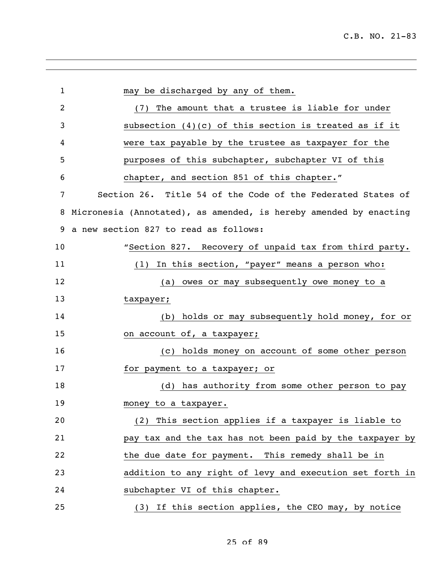| $\mathbf{1}$ | may be discharged by any of them.                                 |
|--------------|-------------------------------------------------------------------|
| 2            | (7) The amount that a trustee is liable for under                 |
| 3            | subsection $(4)(c)$ of this section is treated as if it           |
| 4            | were tax payable by the trustee as taxpayer for the               |
| 5            | purposes of this subchapter, subchapter VI of this                |
| 6            | chapter, and section 851 of this chapter."                        |
| 7            | Section 26. Title 54 of the Code of the Federated States of       |
| 8            | Micronesia (Annotated), as amended, is hereby amended by enacting |
| 9            | a new section 827 to read as follows:                             |
| 10           | "Section 827. Recovery of unpaid tax from third party.            |
| 11           | In this section, "payer" means a person who:<br>(1)               |
| 12           | (a) owes or may subsequently owe money to a                       |
| 13           | taxpayer;                                                         |
| 14           | holds or may subsequently hold money, for or<br>(b)               |
| 15           | on account of, a taxpayer;                                        |
| 16           | (c) holds money on account of some other person                   |
| 17           | for payment to a taxpayer; or                                     |
| 18           | (d) has authority from some other person to pay                   |
| 19           | money to a taxpayer.                                              |
| 20           | (2) This section applies if a taxpayer is liable to               |
| 21           | pay tax and the tax has not been paid by the taxpayer by          |
| 22           | the due date for payment. This remedy shall be in                 |
| 23           | addition to any right of levy and execution set forth in          |
| 24           | subchapter VI of this chapter.                                    |
| 25           | (3) If this section applies, the CEO may, by notice               |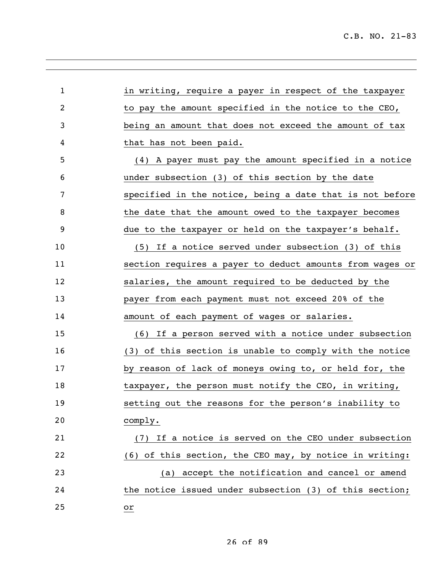| 1  | in writing, require a payer in respect of the taxpayer   |
|----|----------------------------------------------------------|
| 2  | to pay the amount specified in the notice to the CEO,    |
| 3  | being an amount that does not exceed the amount of tax   |
| 4  | that has not been paid.                                  |
| 5  | (4) A payer must pay the amount specified in a notice    |
| 6  | under subsection (3) of this section by the date         |
| 7  | specified in the notice, being a date that is not before |
| 8  | the date that the amount owed to the taxpayer becomes    |
| 9  | due to the taxpayer or held on the taxpayer's behalf.    |
| 10 | (5) If a notice served under subsection (3) of this      |
| 11 | section requires a payer to deduct amounts from wages or |
| 12 | salaries, the amount required to be deducted by the      |
| 13 | payer from each payment must not exceed 20% of the       |
| 14 | amount of each payment of wages or salaries.             |
| 15 | (6) If a person served with a notice under subsection    |
| 16 | (3) of this section is unable to comply with the notice  |
| 17 | by reason of lack of moneys owing to, or held for, the   |
| 18 | taxpayer, the person must notify the CEO, in writing,    |
| 19 | setting out the reasons for the person's inability to    |
| 20 | comply.                                                  |
| 21 | If a notice is served on the CEO under subsection<br>(7) |
| 22 | (6) of this section, the CEO may, by notice in writing:  |
| 23 | accept the notification and cancel or amend<br>(a)       |
| 24 | the notice issued under subsection (3) of this section;  |
| 25 | or                                                       |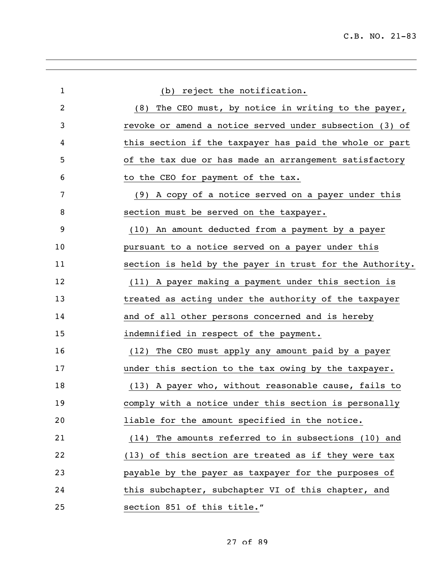| (b) reject the notification.<br>(8) The CEO must, by notice in writing to the payer,<br>revoke or amend a notice served under subsection (3) of |
|-------------------------------------------------------------------------------------------------------------------------------------------------|
|                                                                                                                                                 |
|                                                                                                                                                 |
|                                                                                                                                                 |
| this section if the taxpayer has paid the whole or part                                                                                         |
| of the tax due or has made an arrangement satisfactory                                                                                          |
| to the CEO for payment of the tax.                                                                                                              |
| (9) A copy of a notice served on a payer under this                                                                                             |
| section must be served on the taxpayer.                                                                                                         |
| (10) An amount deducted from a payment by a payer                                                                                               |
| pursuant to a notice served on a payer under this                                                                                               |
| section is held by the payer in trust for the Authority.                                                                                        |
| (11) A payer making a payment under this section is                                                                                             |
| treated as acting under the authority of the taxpayer                                                                                           |
| and of all other persons concerned and is hereby                                                                                                |
| indemnified in respect of the payment.                                                                                                          |
| The CEO must apply any amount paid by a payer<br>(12)                                                                                           |
| under this section to the tax owing by the taxpayer.                                                                                            |
| (13) A payer who, without reasonable cause, fails to                                                                                            |
| comply with a notice under this section is personally                                                                                           |
| liable for the amount specified in the notice.                                                                                                  |
| (14) The amounts referred to in subsections (10) and                                                                                            |
| (13) of this section are treated as if they were tax                                                                                            |
| payable by the payer as taxpayer for the purposes of                                                                                            |
| this subchapter, subchapter VI of this chapter, and                                                                                             |
| section 851 of this title."                                                                                                                     |
|                                                                                                                                                 |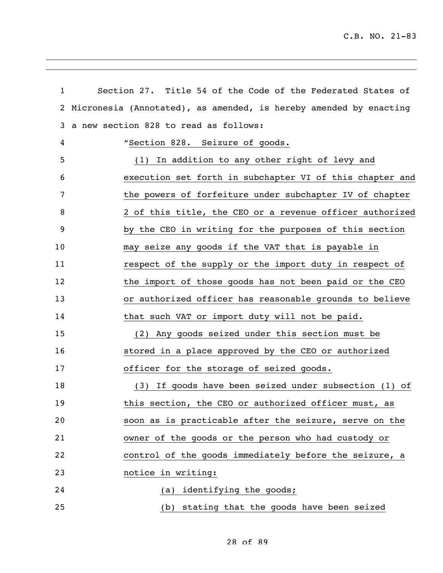| $\mathbf{1}$ | Section 27. Title 54 of the Code of the Federated States of       |
|--------------|-------------------------------------------------------------------|
| 2            | Micronesia (Annotated), as amended, is hereby amended by enacting |
| 3            | a new section 828 to read as follows:                             |
| 4            | "Section 828. Seizure of goods.                                   |
| 5            | (1) In addition to any other right of levy and                    |
| 6            | execution set forth in subchapter VI of this chapter and          |
| 7            | the powers of forfeiture under subchapter IV of chapter           |
| 8            | 2 of this title, the CEO or a revenue officer authorized          |
| 9            | by the CEO in writing for the purposes of this section            |
| 10           | may seize any goods if the VAT that is payable in                 |
| 11           | respect of the supply or the import duty in respect of            |
| 12           | the import of those goods has not been paid or the CEO            |
| 13           | or authorized officer has reasonable grounds to believe           |
| 14           | that such VAT or import duty will not be paid.                    |
| 15           | (2) Any goods seized under this section must be                   |
| 16           | stored in a place approved by the CEO or authorized               |
| 17           | officer for the storage of seized goods.                          |
| 18           | (3) If goods have been seized under subsection (1) of             |
| 19           | this section, the CEO or authorized officer must, as              |
| 20           | soon as is practicable after the seizure, serve on the            |
| 21           | owner of the goods or the person who had custody or               |
| 22           | control of the goods immediately before the seizure, a            |
| 23           | notice in writing:                                                |
| 24           | identifying the goods;<br>(a)                                     |
| 25           | (b) stating that the goods have been seized                       |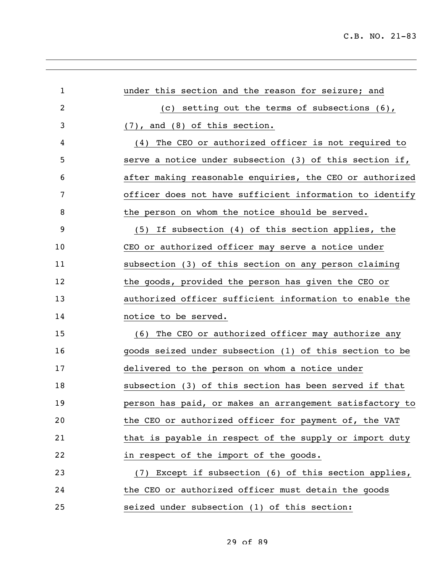| 1              | under this section and the reason for seizure; and       |
|----------------|----------------------------------------------------------|
| $\overline{2}$ | (c) setting out the terms of subsections $(6)$ ,         |
| 3              | $(7)$ , and $(8)$ of this section.                       |
| 4              | The CEO or authorized officer is not required to<br>(4)  |
| 5              | serve a notice under subsection (3) of this section if,  |
| 6              | after making reasonable enquiries, the CEO or authorized |
| 7              | officer does not have sufficient information to identify |
| 8              | the person on whom the notice should be served.          |
| 9              | (5) If subsection (4) of this section applies, the       |
| 10             | CEO or authorized officer may serve a notice under       |
| 11             | subsection (3) of this section on any person claiming    |
| 12             | the goods, provided the person has given the CEO or      |
| 13             | authorized officer sufficient information to enable the  |
| 14             | notice to be served.                                     |
| 15             | The CEO or authorized officer may authorize any<br>(6)   |
| 16             | goods seized under subsection (1) of this section to be  |
| 17             | delivered to the person on whom a notice under           |
| 18             | subsection (3) of this section has been served if that   |
| 19             | person has paid, or makes an arrangement satisfactory to |
| 20             | the CEO or authorized officer for payment of, the VAT    |
| 21             | that is payable in respect of the supply or import duty  |
| 22             | in respect of the import of the goods.                   |
| 23             | (7) Except if subsection (6) of this section applies,    |
| 24             | the CEO or authorized officer must detain the goods      |
| 25             | seized under subsection (1) of this section:             |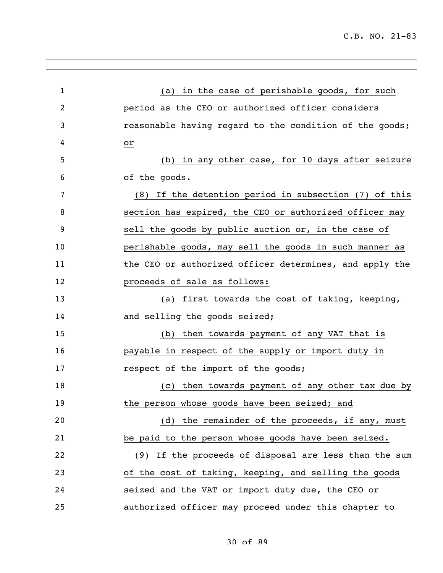| $\mathbf{1}$   | (a) in the case of perishable goods, for such           |
|----------------|---------------------------------------------------------|
| $\overline{2}$ | period as the CEO or authorized officer considers       |
| 3              | reasonable having regard to the condition of the goods; |
| 4              | or                                                      |
| 5              | (b) in any other case, for 10 days after seizure        |
| 6              | of the goods.                                           |
| 7              | (8) If the detention period in subsection (7) of this   |
| 8              | section has expired, the CEO or authorized officer may  |
| 9              | sell the goods by public auction or, in the case of     |
| 10             | perishable goods, may sell the goods in such manner as  |
| 11             | the CEO or authorized officer determines, and apply the |
| 12             | proceeds of sale as follows:                            |
| 13             | (a) first towards the cost of taking, keeping,          |
| 14             | and selling the goods seized;                           |
| 15             | (b) then towards payment of any VAT that is             |
| 16             | payable in respect of the supply or import duty in      |
| 17             | respect of the import of the goods;                     |
| 18             | (c) then towards payment of any other tax due by        |
| 19             | the person whose goods have been seized; and            |
| 20             | (d) the remainder of the proceeds, if any, must         |
| 21             | be paid to the person whose goods have been seized.     |
| 22             | (9) If the proceeds of disposal are less than the sum   |
| 23             | of the cost of taking, keeping, and selling the goods   |
| 24             | seized and the VAT or import duty due, the CEO or       |
| 25             | authorized officer may proceed under this chapter to    |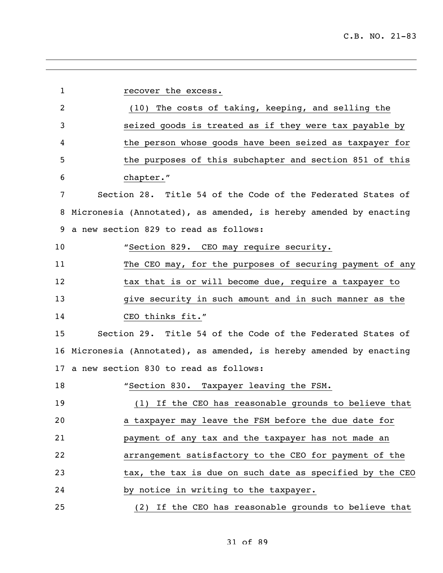| $\mathbf{1}$ | recover the excess.                                               |
|--------------|-------------------------------------------------------------------|
| 2            | (10) The costs of taking, keeping, and selling the                |
| 3            | seized goods is treated as if they were tax payable by            |
| 4            | the person whose goods have been seized as taxpayer for           |
| 5            | the purposes of this subchapter and section 851 of this           |
| 6            | chapter."                                                         |
| 7            | Section 28. Title 54 of the Code of the Federated States of       |
| 8            | Micronesia (Annotated), as amended, is hereby amended by enacting |
| 9            | a new section 829 to read as follows:                             |
| 10           | "Section 829. CEO may require security.                           |
| 11           | The CEO may, for the purposes of securing payment of any          |
| 12           | tax that is or will become due, require a taxpayer to             |
| 13           | give security in such amount and in such manner as the            |
| 14           | CEO thinks fit."                                                  |
| 15           | Section 29. Title 54 of the Code of the Federated States of       |
| 16           | Micronesia (Annotated), as amended, is hereby amended by enacting |
|              | 17 a new section 830 to read as follows:                          |
| 18           | "Section 830. Taxpayer leaving the FSM.                           |
| 19           | If the CEO has reasonable grounds to believe that<br>(1)          |
| 20           | a taxpayer may leave the FSM before the due date for              |
| 21           | payment of any tax and the taxpayer has not made an               |
| 22           | arrangement satisfactory to the CEO for payment of the            |
| 23           | tax, the tax is due on such date as specified by the CEO          |
| 24           | by notice in writing to the taxpayer.                             |
| 25           | (2) If the CEO has reasonable grounds to believe that             |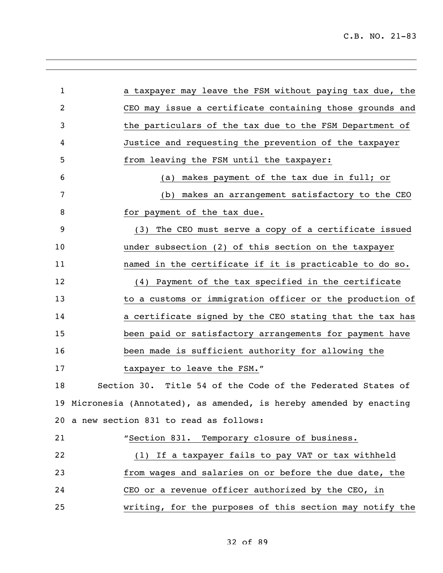| $\mathbf{1}$ | a taxpayer may leave the FSM without paying tax due, the             |
|--------------|----------------------------------------------------------------------|
| 2            | CEO may issue a certificate containing those grounds and             |
| 3            | the particulars of the tax due to the FSM Department of              |
| 4            | Justice and requesting the prevention of the taxpayer                |
| 5            | from leaving the FSM until the taxpayer:                             |
| 6            | (a) makes payment of the tax due in full; or                         |
| 7            | (b) makes an arrangement satisfactory to the CEO                     |
| 8            | for payment of the tax due.                                          |
| 9            | (3) The CEO must serve a copy of a certificate issued                |
| 10           | under subsection (2) of this section on the taxpayer                 |
| 11           | named in the certificate if it is practicable to do so.              |
| 12           | (4) Payment of the tax specified in the certificate                  |
| 13           | to a customs or immigration officer or the production of             |
| 14           | a certificate signed by the CEO stating that the tax has             |
| 15           | been paid or satisfactory arrangements for payment have              |
| 16           | been made is sufficient authority for allowing the                   |
| 17           | taxpayer to leave the FSM."                                          |
| 18           | Section 30. Title 54 of the Code of the Federated States of          |
|              | 19 Micronesia (Annotated), as amended, is hereby amended by enacting |
|              | 20 a new section 831 to read as follows:                             |
| 21           | "Section 831. Temporary closure of business.                         |
| 22           | (1) If a taxpayer fails to pay VAT or tax withheld                   |
| 23           | from wages and salaries on or before the due date, the               |
| 24           | CEO or a revenue officer authorized by the CEO, in                   |
| 25           | writing, for the purposes of this section may notify the             |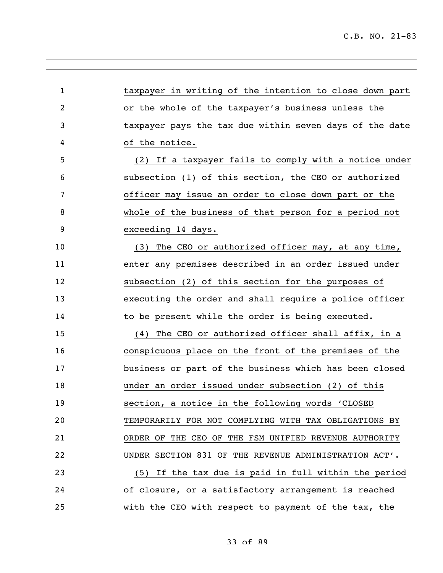| $\mathbf{1}$   | taxpayer in writing of the intention to close down part |
|----------------|---------------------------------------------------------|
| $\overline{2}$ | or the whole of the taxpayer's business unless the      |
| 3              | taxpayer pays the tax due within seven days of the date |
| 4              | of the notice.                                          |
| 5              | (2) If a taxpayer fails to comply with a notice under   |
| 6              | subsection (1) of this section, the CEO or authorized   |
| 7              | officer may issue an order to close down part or the    |
| 8              | whole of the business of that person for a period not   |
| 9              | exceeding 14 days.                                      |
| 10             | The CEO or authorized officer may, at any time,<br>(3)  |
| 11             | enter any premises described in an order issued under   |
| 12             | subsection (2) of this section for the purposes of      |
| 13             | executing the order and shall require a police officer  |
| 14             | to be present while the order is being executed.        |
| 15             | The CEO or authorized officer shall affix, in a<br>(4)  |
| 16             | conspicuous place on the front of the premises of the   |
| 17             | business or part of the business which has been closed  |
| 18             | under an order issued under subsection (2) of this      |
| 19             | section, a notice in the following words 'CLOSED        |
| 20             | TEMPORARILY FOR NOT COMPLYING WITH TAX OBLIGATIONS BY   |
| 21             | ORDER OF THE CEO OF THE FSM UNIFIED REVENUE AUTHORITY   |
| 22             | UNDER SECTION 831 OF THE REVENUE ADMINISTRATION ACT'.   |
| 23             | (5) If the tax due is paid in full within the period    |
| 24             | of closure, or a satisfactory arrangement is reached    |
| 25             | with the CEO with respect to payment of the tax, the    |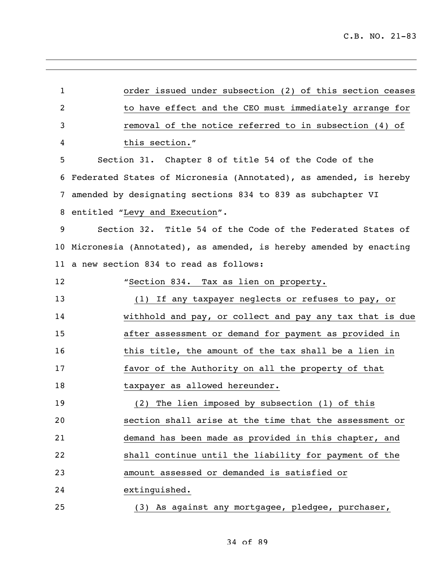| $\mathbf{1}$   | order issued under subsection (2) of this section ceases          |
|----------------|-------------------------------------------------------------------|
| $\overline{2}$ | to have effect and the CEO must immediately arrange for           |
| 3              | removal of the notice referred to in subsection (4) of            |
| 4              | this section."                                                    |
| 5              | Section 31. Chapter 8 of title 54 of the Code of the              |
| 6              | Federated States of Micronesia (Annotated), as amended, is hereby |
| 7              | amended by designating sections 834 to 839 as subchapter VI       |
| 8              | entitled "Levy and Execution".                                    |
| 9              | Section 32. Title 54 of the Code of the Federated States of       |
| 10             | Micronesia (Annotated), as amended, is hereby amended by enacting |
| 11             | a new section 834 to read as follows:                             |
| 12             | "Section 834. Tax as lien on property.                            |
| 13             | (1) If any taxpayer neglects or refuses to pay, or                |
| 14             | withhold and pay, or collect and pay any tax that is due          |
| 15             | after assessment or demand for payment as provided in             |
| 16             | this title, the amount of the tax shall be a lien in              |
| 17             | favor of the Authority on all the property of that                |
| 18             | taxpayer as allowed hereunder.                                    |
| 19             | (2) The lien imposed by subsection (1) of this                    |
| 20             | section shall arise at the time that the assessment or            |
| 21             | demand has been made as provided in this chapter, and             |
| 22             | shall continue until the liability for payment of the             |
| 23             | amount assessed or demanded is satisfied or                       |
| 24             | extinguished.                                                     |
| 25             | (3) As against any mortgagee, pledgee, purchaser,                 |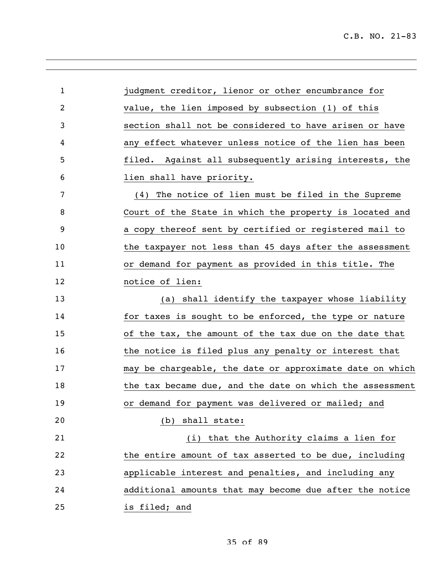| $\mathbf 1$ | judgment creditor, lienor or other encumbrance for       |
|-------------|----------------------------------------------------------|
| 2           | value, the lien imposed by subsection (1) of this        |
| 3           | section shall not be considered to have arisen or have   |
| 4           | any effect whatever unless notice of the lien has been   |
| 5           | filed. Against all subsequently arising interests, the   |
| 6           | lien shall have priority.                                |
| 7           | The notice of lien must be filed in the Supreme<br>(4)   |
| 8           | Court of the State in which the property is located and  |
| 9           | a copy thereof sent by certified or registered mail to   |
| 10          | the taxpayer not less than 45 days after the assessment  |
| 11          | or demand for payment as provided in this title. The     |
| 12          | notice of lien:                                          |
| 13          | (a) shall identify the taxpayer whose liability          |
| 14          | for taxes is sought to be enforced, the type or nature   |
| 15          | of the tax, the amount of the tax due on the date that   |
| 16          | the notice is filed plus any penalty or interest that    |
| 17          | may be chargeable, the date or approximate date on which |
| 18          | the tax became due, and the date on which the assessment |
| 19          | or demand for payment was delivered or mailed; and       |
| 20          | (b) shall state:                                         |
| 21          | (i) that the Authority claims a lien for                 |
| 22          | the entire amount of tax asserted to be due, including   |
| 23          | applicable interest and penalties, and including any     |
| 24          | additional amounts that may become due after the notice  |
| 25          | is filed; and                                            |

35 of 89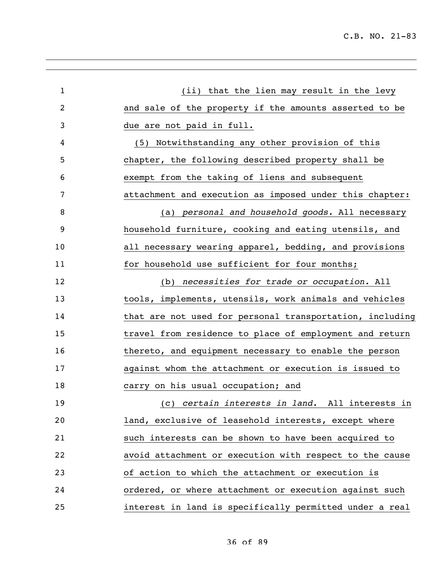C.B. NO. 21-83

| $\mathbf{1}$   | (ii) that the lien may result in the levy                |
|----------------|----------------------------------------------------------|
| $\overline{2}$ | and sale of the property if the amounts asserted to be   |
| 3              | due are not paid in full.                                |
| 4              | Notwithstanding any other provision of this<br>(5)       |
| 5              | chapter, the following described property shall be       |
| 6              | exempt from the taking of liens and subsequent           |
| 7              | attachment and execution as imposed under this chapter:  |
| 8              | (a) personal and household goods. All necessary          |
| 9              | household furniture, cooking and eating utensils, and    |
| 10             | all necessary wearing apparel, bedding, and provisions   |
| 11             | for household use sufficient for four months;            |
| 12             | (b) necessities for trade or occupation. All             |
| 13             | tools, implements, utensils, work animals and vehicles   |
| 14             | that are not used for personal transportation, including |
| 15             | travel from residence to place of employment and return  |
| 16             | thereto, and equipment necessary to enable the person    |
| 17             | against whom the attachment or execution is issued to    |
| 18             | carry on his usual occupation; and                       |
| 19             | (c) certain interests in land. All interests in          |
| 20             | land, exclusive of leasehold interests, except where     |
| 21             | such interests can be shown to have been acquired to     |
| 22             | avoid attachment or execution with respect to the cause  |
| 23             | of action to which the attachment or execution is        |
| 24             | ordered, or where attachment or execution against such   |
| 25             | interest in land is specifically permitted under a real  |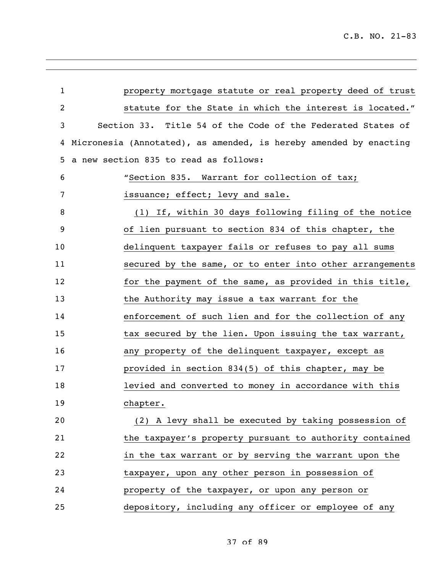| $\mathbf{1}$ | property mortgage statute or real property deed of trust          |
|--------------|-------------------------------------------------------------------|
| 2            | statute for the State in which the interest is located."          |
| 3            | Section 33. Title 54 of the Code of the Federated States of       |
| 4            | Micronesia (Annotated), as amended, is hereby amended by enacting |
| 5            | a new section 835 to read as follows:                             |
| 6            | "Section 835. Warrant for collection of tax;                      |
| 7            | issuance; effect; levy and sale.                                  |
| 8            | (1) If, within 30 days following filing of the notice             |
| 9            | of lien pursuant to section 834 of this chapter, the              |
| 10           | delinquent taxpayer fails or refuses to pay all sums              |
| 11           | secured by the same, or to enter into other arrangements          |
| 12           | for the payment of the same, as provided in this title,           |
| 13           | the Authority may issue a tax warrant for the                     |
| 14           | enforcement of such lien and for the collection of any            |
| 15           | tax secured by the lien. Upon issuing the tax warrant,            |
| 16           | any property of the delinquent taxpayer, except as                |
| 17           | provided in section 834(5) of this chapter, may be                |
| 18           | levied and converted to money in accordance with this             |
| 19           | chapter.                                                          |
| 20           | (2) A levy shall be executed by taking possession of              |
| 21           | the taxpayer's property pursuant to authority contained           |
| 22           | in the tax warrant or by serving the warrant upon the             |
| 23           | taxpayer, upon any other person in possession of                  |
| 24           | property of the taxpayer, or upon any person or                   |
| 25           | depository, including any officer or employee of any              |

37 of 89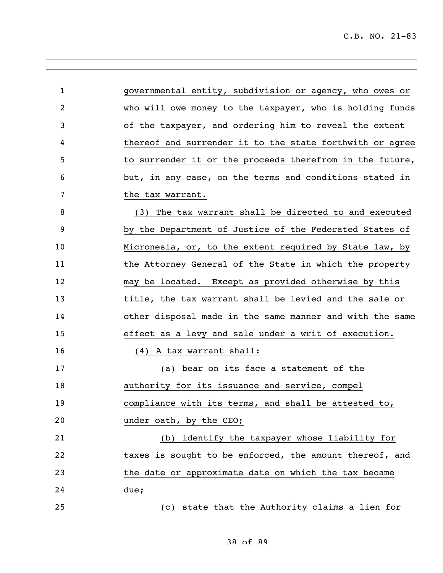| $\mathbf{1}$   | governmental entity, subdivision or agency, who owes or  |
|----------------|----------------------------------------------------------|
| $\overline{2}$ | who will owe money to the taxpayer, who is holding funds |
| 3              | of the taxpayer, and ordering him to reveal the extent   |
| 4              | thereof and surrender it to the state forthwith or agree |
| 5              | to surrender it or the proceeds therefrom in the future, |
| 6              | but, in any case, on the terms and conditions stated in  |
| 7              | the tax warrant.                                         |
| 8              | (3) The tax warrant shall be directed to and executed    |
| 9              | by the Department of Justice of the Federated States of  |
| 10             | Micronesia, or, to the extent required by State law, by  |
| 11             | the Attorney General of the State in which the property  |
| 12             | may be located. Except as provided otherwise by this     |
| 13             | title, the tax warrant shall be levied and the sale or   |
| 14             | other disposal made in the same manner and with the same |
| 15             | effect as a levy and sale under a writ of execution.     |
| 16             | (4) A tax warrant shall:                                 |
| 17             | (a) bear on its face a statement of the                  |
| 18             | authority for its issuance and service, compel           |
| 19             | compliance with its terms, and shall be attested to,     |
| 20             | under oath, by the CEO;                                  |
| 21             | (b) identify the taxpayer whose liability for            |
| 22             | taxes is sought to be enforced, the amount thereof, and  |
| 23             | the date or approximate date on which the tax became     |
| 24             | due;                                                     |
| 25             | (c) state that the Authority claims a lien for           |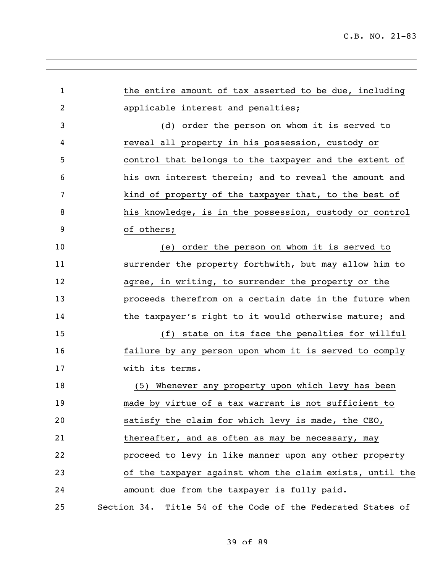| $\mathbf{1}$ | the entire amount of tax asserted to be due, including      |
|--------------|-------------------------------------------------------------|
| 2            | applicable interest and penalties;                          |
| 3            | (d) order the person on whom it is served to                |
| 4            | reveal all property in his possession, custody or           |
| 5            | control that belongs to the taxpayer and the extent of      |
| 6            | his own interest therein; and to reveal the amount and      |
| 7            | kind of property of the taxpayer that, to the best of       |
| 8            | his knowledge, is in the possession, custody or control     |
| 9            | of others;                                                  |
| 10           | (e) order the person on whom it is served to                |
| 11           | surrender the property forthwith, but may allow him to      |
| 12           | agree, in writing, to surrender the property or the         |
| 13           | proceeds therefrom on a certain date in the future when     |
| 14           | the taxpayer's right to it would otherwise mature; and      |
| 15           | (f) state on its face the penalties for willful             |
| 16           | failure by any person upon whom it is served to comply      |
| 17           | with its terms.                                             |
| 18           | (5) Whenever any property upon which levy has been          |
| 19           | made by virtue of a tax warrant is not sufficient to        |
| 20           | satisfy the claim for which levy is made, the CEO,          |
| 21           | thereafter, and as often as may be necessary, may           |
| 22           | proceed to levy in like manner upon any other property      |
| 23           | of the taxpayer against whom the claim exists, until the    |
| 24           | amount due from the taxpayer is fully paid.                 |
| 25           | Section 34. Title 54 of the Code of the Federated States of |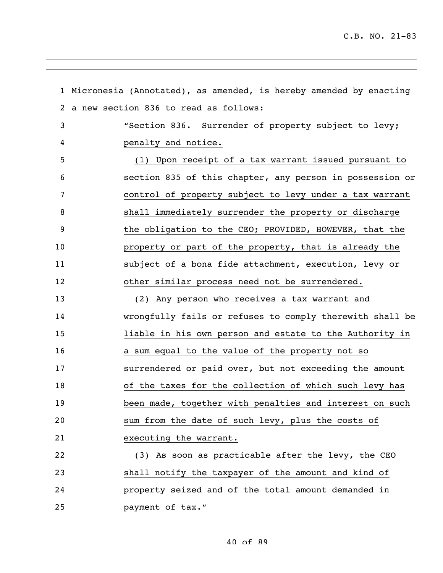|    | 1 Micronesia (Annotated), as amended, is hereby amended by enacting |
|----|---------------------------------------------------------------------|
| 2  | a new section 836 to read as follows:                               |
| 3  | "Section 836. Surrender of property subject to levy;                |
| 4  | penalty and notice.                                                 |
| 5  | (1) Upon receipt of a tax warrant issued pursuant to                |
| 6  | section 835 of this chapter, any person in possession or            |
| 7  | control of property subject to levy under a tax warrant             |
| 8  | shall immediately surrender the property or discharge               |
| 9  | the obligation to the CEO; PROVIDED, HOWEVER, that the              |
| 10 | property or part of the property, that is already the               |
| 11 | subject of a bona fide attachment, execution, levy or               |
| 12 | other similar process need not be surrendered.                      |
| 13 | (2) Any person who receives a tax warrant and                       |
| 14 | wrongfully fails or refuses to comply therewith shall be            |
| 15 | liable in his own person and estate to the Authority in             |
| 16 | a sum equal to the value of the property not so                     |
| 17 | surrendered or paid over, but not exceeding the amount              |
| 18 | of the taxes for the collection of which such levy has              |
| 19 | been made, together with penalties and interest on such             |
| 20 | sum from the date of such levy, plus the costs of                   |
| 21 | executing the warrant.                                              |
| 22 | (3) As soon as practicable after the levy, the CEO                  |
| 23 | shall notify the taxpayer of the amount and kind of                 |
| 24 | property seized and of the total amount demanded in                 |
| 25 | payment of tax."                                                    |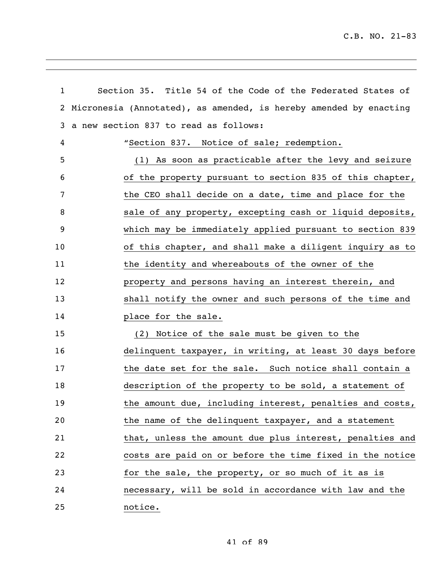| $\mathbf{1}$ | Section 35. Title 54 of the Code of the Federated States of       |  |
|--------------|-------------------------------------------------------------------|--|
| $\mathbf{2}$ | Micronesia (Annotated), as amended, is hereby amended by enacting |  |
| 3            | a new section 837 to read as follows:                             |  |
| 4            | "Section 837. Notice of sale; redemption.                         |  |
| 5            | (1) As soon as practicable after the levy and seizure             |  |
| 6            | of the property pursuant to section 835 of this chapter,          |  |
| 7            | the CEO shall decide on a date, time and place for the            |  |
| 8            | sale of any property, excepting cash or liquid deposits,          |  |
| 9            | which may be immediately applied pursuant to section 839          |  |
| 10           | of this chapter, and shall make a diligent inquiry as to          |  |
| 11           | the identity and whereabouts of the owner of the                  |  |
| 12           | property and persons having an interest therein, and              |  |
| 13           | shall notify the owner and such persons of the time and           |  |
| 14           | place for the sale.                                               |  |
| 15           | (2) Notice of the sale must be given to the                       |  |
| 16           | delinquent taxpayer, in writing, at least 30 days before          |  |
| 17           | the date set for the sale. Such notice shall contain a            |  |
| 18           | description of the property to be sold, a statement of            |  |
| 19           | the amount due, including interest, penalties and costs,          |  |
| 20           | the name of the delinquent taxpayer, and a statement              |  |
| 21           | that, unless the amount due plus interest, penalties and          |  |
| 22           | costs are paid on or before the time fixed in the notice          |  |
| 23           | for the sale, the property, or so much of it as is                |  |
| 24           | necessary, will be sold in accordance with law and the            |  |
| 25           | notice.                                                           |  |

41 of 89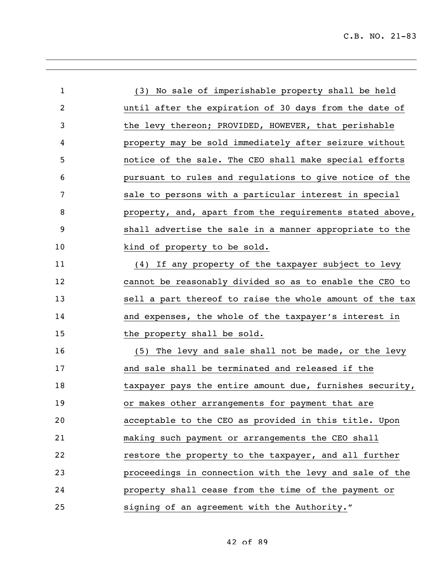| $\mathbf{1}$ | (3) No sale of imperishable property shall be held       |
|--------------|----------------------------------------------------------|
| 2            | until after the expiration of 30 days from the date of   |
| 3            | the levy thereon; PROVIDED, HOWEVER, that perishable     |
| 4            | property may be sold immediately after seizure without   |
| 5            | notice of the sale. The CEO shall make special efforts   |
| 6            | pursuant to rules and regulations to give notice of the  |
| 7            | sale to persons with a particular interest in special    |
| 8            | property, and, apart from the requirements stated above, |
| 9            | shall advertise the sale in a manner appropriate to the  |
| 10           | kind of property to be sold.                             |
| 11           | (4) If any property of the taxpayer subject to levy      |
| 12           | cannot be reasonably divided so as to enable the CEO to  |
| 13           | sell a part thereof to raise the whole amount of the tax |
| 14           | and expenses, the whole of the taxpayer's interest in    |
| 15           | the property shall be sold.                              |
| 16           | (5) The levy and sale shall not be made, or the levy     |
| 17           | and sale shall be terminated and released if the         |
| 18           | taxpayer pays the entire amount due, furnishes security, |
| 19           | or makes other arrangements for payment that are         |
| 20           | acceptable to the CEO as provided in this title. Upon    |
| 21           | making such payment or arrangements the CEO shall        |
| 22           | restore the property to the taxpayer, and all further    |
| 23           | proceedings in connection with the levy and sale of the  |
| 24           | property shall cease from the time of the payment or     |
| 25           | signing of an agreement with the Authority."             |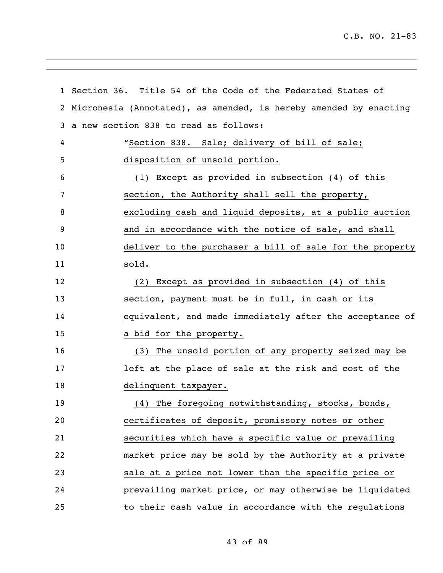|    | 1 Section 36. Title 54 of the Code of the Federated States of     |
|----|-------------------------------------------------------------------|
| 2  | Micronesia (Annotated), as amended, is hereby amended by enacting |
| 3  | a new section 838 to read as follows:                             |
| 4  | "Section 838. Sale; delivery of bill of sale;                     |
| 5  | disposition of unsold portion.                                    |
| 6  | (1) Except as provided in subsection (4) of this                  |
| 7  | section, the Authority shall sell the property,                   |
| 8  | excluding cash and liquid deposits, at a public auction           |
| 9  | and in accordance with the notice of sale, and shall              |
| 10 | deliver to the purchaser a bill of sale for the property          |
| 11 | sold.                                                             |
| 12 | (2) Except as provided in subsection (4) of this                  |
| 13 | section, payment must be in full, in cash or its                  |
| 14 | equivalent, and made immediately after the acceptance of          |
| 15 | a bid for the property.                                           |
| 16 | (3) The unsold portion of any property seized may be              |
| 17 | left at the place of sale at the risk and cost of the             |
| 18 | delinquent taxpayer.                                              |
| 19 | (4) The foregoing notwithstanding, stocks, bonds,                 |
| 20 | certificates of deposit, promissory notes or other                |
| 21 | securities which have a specific value or prevailing              |
| 22 | market price may be sold by the Authority at a private            |
| 23 | sale at a price not lower than the specific price or              |
| 24 | prevailing market price, or may otherwise be liquidated           |
| 25 | to their cash value in accordance with the regulations            |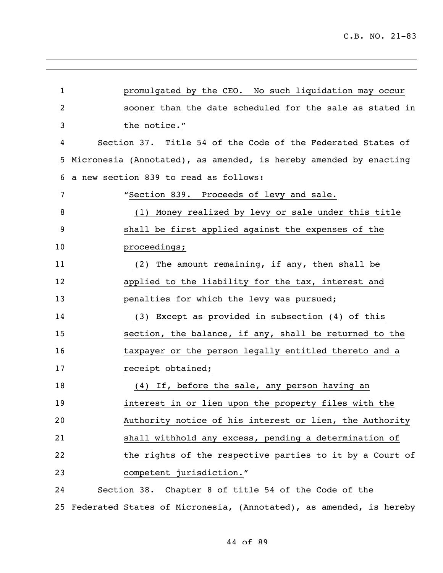| $\mathbf{1}$ | promulgated by the CEO. No such liquidation may occur                 |
|--------------|-----------------------------------------------------------------------|
| 2            | sooner than the date scheduled for the sale as stated in              |
| 3            | the notice."                                                          |
| 4            | Section 37. Title 54 of the Code of the Federated States of           |
| 5            | Micronesia (Annotated), as amended, is hereby amended by enacting     |
| 6            | a new section 839 to read as follows:                                 |
| 7            | "Section 839. Proceeds of levy and sale.                              |
| 8            | (1) Money realized by levy or sale under this title                   |
| 9            | shall be first applied against the expenses of the                    |
| 10           | proceedings;                                                          |
| 11           | (2) The amount remaining, if any, then shall be                       |
| 12           | applied to the liability for the tax, interest and                    |
| 13           | penalties for which the levy was pursued;                             |
| 14           | (3) Except as provided in subsection (4) of this                      |
| 15           | section, the balance, if any, shall be returned to the                |
| 16           | taxpayer or the person legally entitled thereto and a                 |
| 17           | receipt obtained;                                                     |
| 18           | (4) If, before the sale, any person having an                         |
| 19           | interest in or lien upon the property files with the                  |
| 20           | Authority notice of his interest or lien, the Authority               |
| 21           | shall withhold any excess, pending a determination of                 |
| 22           | the rights of the respective parties to it by a Court of              |
| 23           | competent jurisdiction."                                              |
| 24           | Section 38. Chapter 8 of title 54 of the Code of the                  |
|              | 25 Federated States of Micronesia, (Annotated), as amended, is hereby |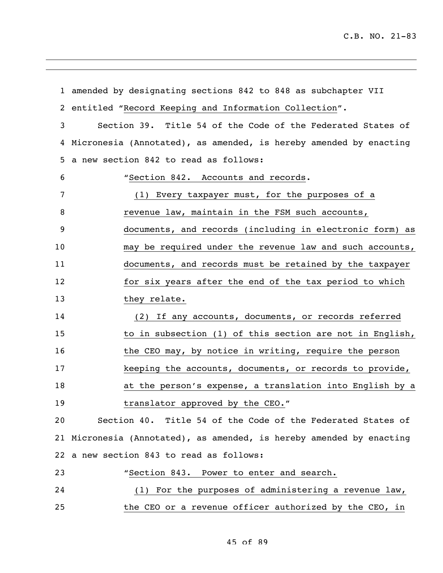|    | 1 amended by designating sections 842 to 848 as subchapter VII       |
|----|----------------------------------------------------------------------|
|    | 2 entitled "Record Keeping and Information Collection".              |
| 3  | Section 39. Title 54 of the Code of the Federated States of          |
| 4  | Micronesia (Annotated), as amended, is hereby amended by enacting    |
| 5  | a new section 842 to read as follows:                                |
| 6  | "Section 842. Accounts and records.                                  |
| 7  | (1) Every taxpayer must, for the purposes of a                       |
| 8  | revenue law, maintain in the FSM such accounts,                      |
| 9  | documents, and records (including in electronic form) as             |
| 10 | may be required under the revenue law and such accounts,             |
| 11 | documents, and records must be retained by the taxpayer              |
| 12 | for six years after the end of the tax period to which               |
| 13 | they relate.                                                         |
| 14 | (2) If any accounts, documents, or records referred                  |
| 15 | to in subsection (1) of this section are not in English,             |
| 16 | the CEO may, by notice in writing, require the person                |
| 17 | keeping the accounts, documents, or records to provide,              |
| 18 | at the person's expense, a translation into English by a             |
| 19 | translator approved by the CEO."                                     |
| 20 | Section 40. Title 54 of the Code of the Federated States of          |
|    | 21 Micronesia (Annotated), as amended, is hereby amended by enacting |
|    | 22 a new section 843 to read as follows:                             |
| 23 | "Section 843. Power to enter and search.                             |
| 24 | $(1)$ For the purposes of administering a revenue law,               |
| 25 | the CEO or a revenue officer authorized by the CEO, in               |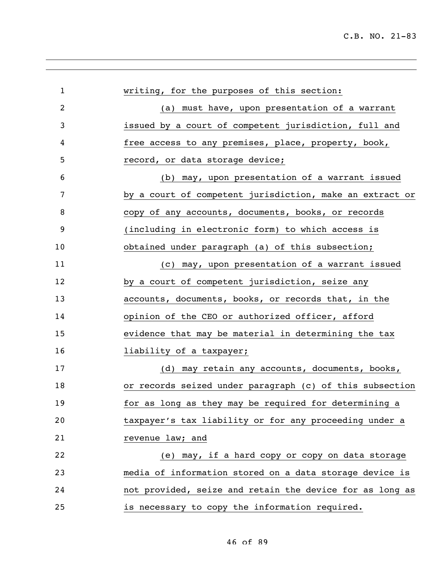| $\mathbf 1$    | writing, for the purposes of this section:               |
|----------------|----------------------------------------------------------|
| $\overline{2}$ | (a) must have, upon presentation of a warrant            |
| 3              | issued by a court of competent jurisdiction, full and    |
| 4              | free access to any premises, place, property, book,      |
| 5              | record, or data storage device;                          |
| 6              | (b) may, upon presentation of a warrant issued           |
| 7              | by a court of competent jurisdiction, make an extract or |
| 8              | copy of any accounts, documents, books, or records       |
| 9              | (including in electronic form) to which access is        |
| 10             | obtained under paragraph (a) of this subsection;         |
| 11             | (c) may, upon presentation of a warrant issued           |
| 12             | by a court of competent jurisdiction, seize any          |
| 13             | accounts, documents, books, or records that, in the      |
| 14             | opinion of the CEO or authorized officer, afford         |
| 15             | evidence that may be material in determining the tax     |
| 16             | liability of a taxpayer;                                 |
| 17             | (d) may retain any accounts, documents, books,           |
| 18             | or records seized under paragraph (c) of this subsection |
| 19             | for as long as they may be required for determining a    |
| 20             | taxpayer's tax liability or for any proceeding under a   |
| 21             | revenue law; and                                         |
| 22             | (e) may, if a hard copy or copy on data storage          |
| 23             | media of information stored on a data storage device is  |
| 24             | not provided, seize and retain the device for as long as |
| 25             | is necessary to copy the information required.           |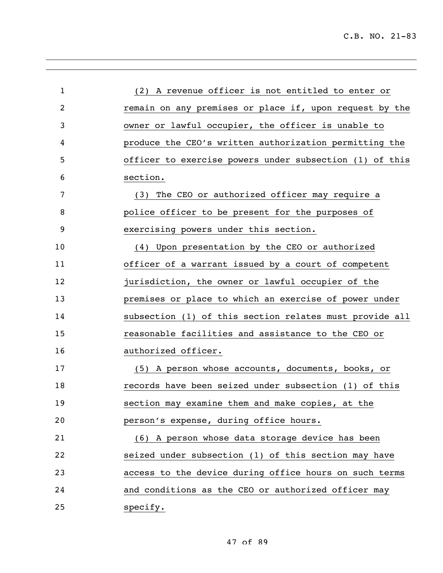| 1  | (2) A revenue officer is not entitled to enter or       |
|----|---------------------------------------------------------|
| 2  | remain on any premises or place if, upon request by the |
| 3  | owner or lawful occupier, the officer is unable to      |
| 4  | produce the CEO's written authorization permitting the  |
| 5  | officer to exercise powers under subsection (1) of this |
| 6  | section.                                                |
| 7  | The CEO or authorized officer may require a<br>(3)      |
| 8  | police officer to be present for the purposes of        |
| 9  | exercising powers under this section.                   |
| 10 | Upon presentation by the CEO or authorized<br>(4)       |
| 11 | officer of a warrant issued by a court of competent     |
| 12 | jurisdiction, the owner or lawful occupier of the       |
| 13 | premises or place to which an exercise of power under   |
| 14 | subsection (1) of this section relates must provide all |
| 15 | reasonable facilities and assistance to the CEO or      |
| 16 | authorized officer.                                     |
| 17 | (5) A person whose accounts, documents, books, or       |
| 18 | records have been seized under subsection (1) of this   |
| 19 | section may examine them and make copies, at the        |
| 20 | person's expense, during office hours.                  |
| 21 | (6) A person whose data storage device has been         |
| 22 | seized under subsection (1) of this section may have    |
| 23 | access to the device during office hours on such terms  |
| 24 | and conditions as the CEO or authorized officer may     |
| 25 | specify.                                                |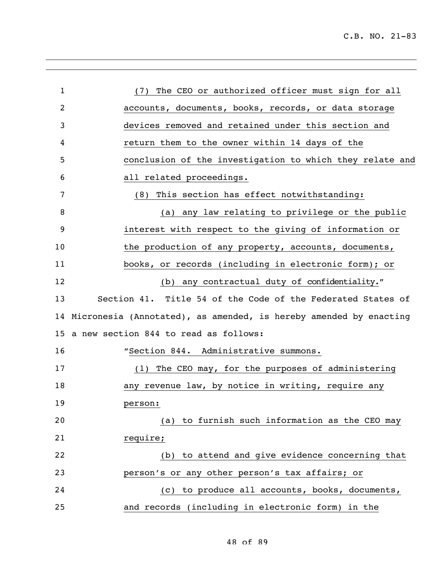| $\mathbf{1}$   | The CEO or authorized officer must sign for all<br>(7)            |
|----------------|-------------------------------------------------------------------|
| $\overline{2}$ | accounts, documents, books, records, or data storage              |
| 3              | devices removed and retained under this section and               |
| 4              | return them to the owner within 14 days of the                    |
| 5              | conclusion of the investigation to which they relate and          |
| 6              | all related proceedings.                                          |
| 7              | (8) This section has effect notwithstanding:                      |
| 8              | (a) any law relating to privilege or the public                   |
| 9              | interest with respect to the giving of information or             |
| 10             | the production of any property, accounts, documents,              |
| 11             | books, or records (including in electronic form); or              |
| 12             | (b) any contractual duty of confidentiality."                     |
| 13             | Section 41. Title 54 of the Code of the Federated States of       |
| 14             | Micronesia (Annotated), as amended, is hereby amended by enacting |
| 15             | a new section 844 to read as follows:                             |
| 16             | "Section 844. Administrative summons.                             |
| 17             | (1) The CEO may, for the purposes of administering                |
| 18             | any revenue law, by notice in writing, require any                |
| 19             | person:                                                           |
| 20             | (a) to furnish such information as the CEO may                    |
| 21             | require;                                                          |
| 22             | (b) to attend and give evidence concerning that                   |
| 23             | person's or any other person's tax affairs; or                    |
| 24             | (c) to produce all accounts, books, documents,                    |
| 25             | and records (including in electronic form) in the                 |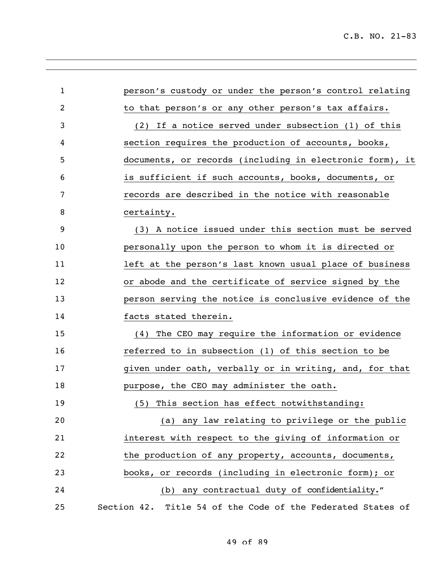| $\mathbf{1}$ | person's custody or under the person's control relating     |
|--------------|-------------------------------------------------------------|
| 2            | to that person's or any other person's tax affairs.         |
| 3            | (2) If a notice served under subsection (1) of this         |
| 4            | section requires the production of accounts, books,         |
| 5            | documents, or records (including in electronic form), it    |
| 6            | is sufficient if such accounts, books, documents, or        |
| 7            | records are described in the notice with reasonable         |
| 8            | certainty.                                                  |
| 9            | (3) A notice issued under this section must be served       |
| 10           | personally upon the person to whom it is directed or        |
| 11           | left at the person's last known usual place of business     |
| 12           | or abode and the certificate of service signed by the       |
| 13           | person serving the notice is conclusive evidence of the     |
| 14           | facts stated therein.                                       |
| 15           | (4) The CEO may require the information or evidence         |
| 16           | referred to in subsection (1) of this section to be         |
| 17           | given under oath, verbally or in writing, and, for that     |
| 18           | purpose, the CEO may administer the oath.                   |
| 19           | (5) This section has effect notwithstanding:                |
| 20           | (a) any law relating to privilege or the public             |
| 21           | interest with respect to the giving of information or       |
| 22           | the production of any property, accounts, documents,        |
| 23           | books, or records (including in electronic form); or        |
| 24           | (b) any contractual duty of confidentiality."               |
| 25           | Section 42. Title 54 of the Code of the Federated States of |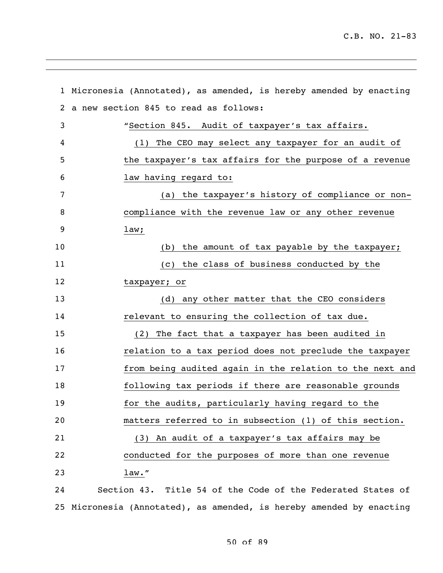|    | 1 Micronesia (Annotated), as amended, is hereby amended by enacting |
|----|---------------------------------------------------------------------|
| 2  | a new section 845 to read as follows:                               |
| 3  | "Section 845. Audit of taxpayer's tax affairs.                      |
| 4  | (1) The CEO may select any taxpayer for an audit of                 |
| 5  | the taxpayer's tax affairs for the purpose of a revenue             |
| 6  | law having regard to:                                               |
| 7  | (a) the taxpayer's history of compliance or non-                    |
| 8  | compliance with the revenue law or any other revenue                |
| 9  | law;                                                                |
| 10 | (b) the amount of tax payable by the taxpayer;                      |
| 11 | (c) the class of business conducted by the                          |
| 12 | taxpayer; or                                                        |
| 13 | (d) any other matter that the CEO considers                         |
| 14 | relevant to ensuring the collection of tax due.                     |
| 15 | (2) The fact that a taxpayer has been audited in                    |
| 16 | relation to a tax period does not preclude the taxpayer             |
| 17 | from being audited again in the relation to the next and            |
| 18 | following tax periods if there are reasonable grounds               |
| 19 | for the audits, particularly having regard to the                   |
| 20 | matters referred to in subsection (1) of this section.              |
| 21 | (3) An audit of a taxpayer's tax affairs may be                     |
| 22 | conducted for the purposes of more than one revenue                 |
| 23 | $law.$ "                                                            |
| 24 | Section 43. Title 54 of the Code of the Federated States of         |

Micronesia (Annotated), as amended, is hereby amended by enacting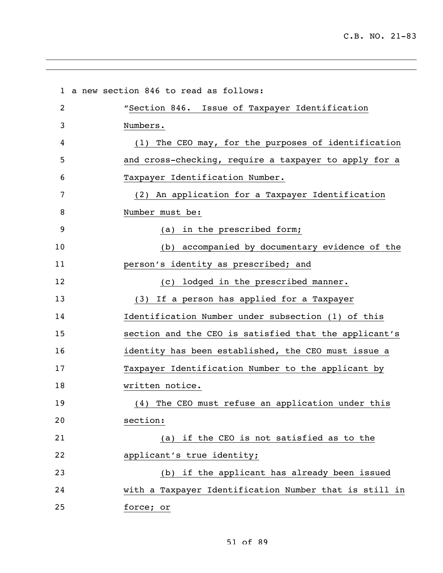a new section 846 to read as follows: "Section 846. Issue of Taxpayer Identification Numbers. (1) The CEO may, for the purposes of identification and cross-checking, require a taxpayer to apply for a Taxpayer Identification Number. (2) An application for a Taxpayer Identification Number must be: (a) in the prescribed form; (b) accompanied by documentary evidence of the person's identity as prescribed; and (c) lodged in the prescribed manner. (3) If a person has applied for a Taxpayer Identification Number under subsection (1) of this section and the CEO is satisfied that the applicant's identity has been established, the CEO must issue a Taxpayer Identification Number to the applicant by written notice. (4) The CEO must refuse an application under this section: (a) if the CEO is not satisfied as to the **applicant's true identity;**  (b) if the applicant has already been issued with a Taxpayer Identification Number that is still in force; or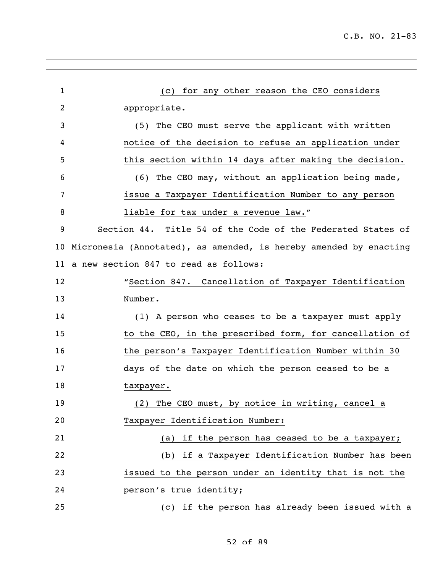| $\mathbf{1}$ | for any other reason the CEO considers<br>(C)                     |
|--------------|-------------------------------------------------------------------|
| 2            | appropriate.                                                      |
| 3            | (5) The CEO must serve the applicant with written                 |
| 4            | notice of the decision to refuse an application under             |
| 5            | this section within 14 days after making the decision.            |
| 6            | (6) The CEO may, without an application being made,               |
| 7            | issue a Taxpayer Identification Number to any person              |
| 8            | liable for tax under a revenue law."                              |
| 9            | Section 44. Title 54 of the Code of the Federated States of       |
| 10           | Micronesia (Annotated), as amended, is hereby amended by enacting |
| 11           | a new section 847 to read as follows:                             |
| 12           | "Section 847. Cancellation of Taxpayer Identification             |
| 13           | Number.                                                           |
| 14           | (1) A person who ceases to be a taxpayer must apply               |
| 15           | to the CEO, in the prescribed form, for cancellation of           |
| 16           | the person's Taxpayer Identification Number within 30             |
| 17           | days of the date on which the person ceased to be a               |
| 18           | taxpayer.                                                         |
| 19           | (2) The CEO must, by notice in writing, cancel a                  |
| 20           | Taxpayer Identification Number:                                   |
| 21           | (a) if the person has ceased to be a taxpayer;                    |
| 22           | (b) if a Taxpayer Identification Number has been                  |
| 23           | issued to the person under an identity that is not the            |
| 24           | person's true identity;                                           |
| 25           | (c) if the person has already been issued with a                  |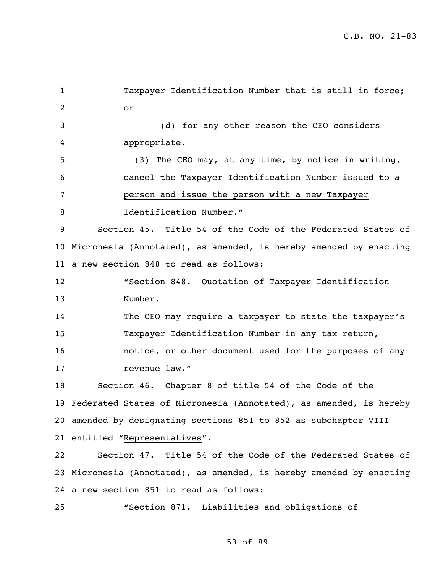| $\mathbf{1}$   | Taxpayer Identification Number that is still in force;               |
|----------------|----------------------------------------------------------------------|
| $\overline{2}$ | or                                                                   |
| 3              | (d) for any other reason the CEO considers                           |
| 4              | appropriate.                                                         |
| 5              | (3) The CEO may, at any time, by notice in writing,                  |
| 6              | cancel the Taxpayer Identification Number issued to a                |
| 7              | person and issue the person with a new Taxpayer                      |
| 8              | Identification Number."                                              |
| 9              | Section 45. Title 54 of the Code of the Federated States of          |
| 10             | Micronesia (Annotated), as amended, is hereby amended by enacting    |
| 11             | a new section 848 to read as follows:                                |
| 12             | "Section 848. Quotation of Taxpayer Identification                   |
| 13             | Number.                                                              |
| 14             | The CEO may require a taxpayer to state the taxpayer's               |
| 15             | Taxpayer Identification Number in any tax return,                    |
| 16             | notice, or other document used for the purposes of any               |
| 17             | revenue law."                                                        |
| 18             | Section 46. Chapter 8 of title 54 of the Code of the                 |
|                | 19 Federated States of Micronesia (Annotated), as amended, is hereby |
|                | 20 amended by designating sections 851 to 852 as subchapter VIII     |
|                | 21 entitled "Representatives".                                       |
| 22             | Section 47. Title 54 of the Code of the Federated States of          |
|                | 23 Micronesia (Annotated), as amended, is hereby amended by enacting |
|                | 24 a new section 851 to read as follows:                             |
| 25             | "Section 871. Liabilities and obligations of                         |

## 53 of 89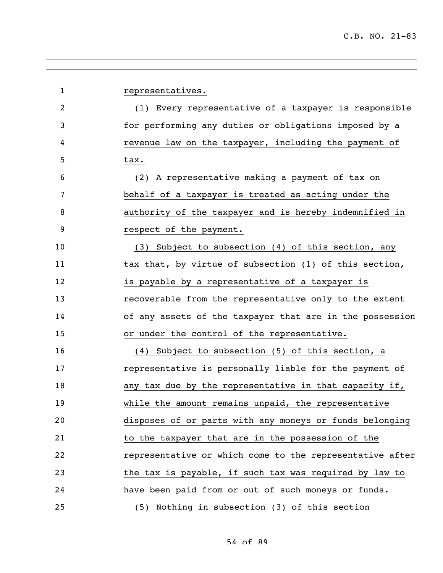| $\mathbf{1}$ | representatives.                                         |
|--------------|----------------------------------------------------------|
| 2            | (1) Every representative of a taxpayer is responsible    |
| 3            | for performing any duties or obligations imposed by a    |
| 4            | revenue law on the taxpayer, including the payment of    |
| 5            | tax.                                                     |
| 6            | (2) A representative making a payment of tax on          |
| 7            | behalf of a taxpayer is treated as acting under the      |
| 8            | authority of the taxpayer and is hereby indemnified in   |
| 9            | respect of the payment.                                  |
| 10           | (3) Subject to subsection (4) of this section, any       |
| 11           | tax that, by virtue of subsection (1) of this section,   |
| 12           | is payable by a representative of a taxpayer is          |
| 13           | recoverable from the representative only to the extent   |
| 14           | of any assets of the taxpayer that are in the possession |
| 15           | or under the control of the representative.              |
| 16           | (4) Subject to subsection (5) of this section, a         |
| 17           | representative is personally liable for the payment of   |
| 18           | any tax due by the representative in that capacity if,   |
| 19           | while the amount remains unpaid, the representative      |
| 20           | disposes of or parts with any moneys or funds belonging  |
| 21           | to the taxpayer that are in the possession of the        |
| 22           | representative or which come to the representative after |
| 23           | the tax is payable, if such tax was required by law to   |
| 24           | have been paid from or out of such moneys or funds.      |
| 25           | (5) Nothing in subsection (3) of this section            |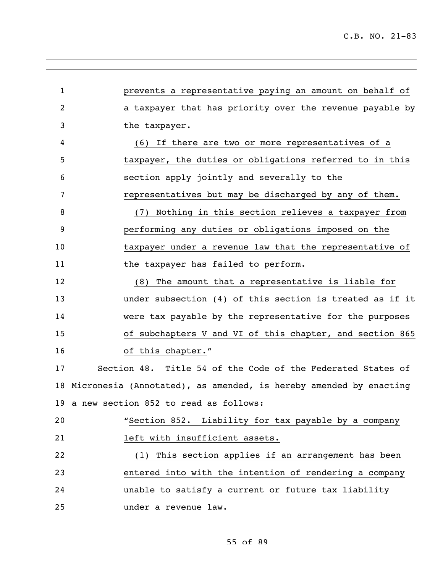| $\mathbf{1}$ | prevents a representative paying an amount on behalf of           |
|--------------|-------------------------------------------------------------------|
| 2            | a taxpayer that has priority over the revenue payable by          |
| 3            | the taxpayer.                                                     |
| 4            | (6) If there are two or more representatives of a                 |
| 5            | taxpayer, the duties or obligations referred to in this           |
| 6            | section apply jointly and severally to the                        |
| 7            | representatives but may be discharged by any of them.             |
| 8            | (7) Nothing in this section relieves a taxpayer from              |
| 9            | performing any duties or obligations imposed on the               |
| 10           | taxpayer under a revenue law that the representative of           |
| 11           | the taxpayer has failed to perform.                               |
| 12           | The amount that a representative is liable for<br>(8)             |
| 13           | under subsection (4) of this section is treated as if it          |
| 14           | were tax payable by the representative for the purposes           |
| 15           | of subchapters V and VI of this chapter, and section 865          |
| 16           | of this chapter."                                                 |
| 17           | Section 48. Title 54 of the Code of the Federated States of       |
| 18           | Micronesia (Annotated), as amended, is hereby amended by enacting |
|              | 19 a new section 852 to read as follows:                          |
| 20           | "Section 852. Liability for tax payable by a company              |
| 21           | left with insufficient assets.                                    |
| 22           | (1) This section applies if an arrangement has been               |
| 23           | entered into with the intention of rendering a company            |
| 24           | unable to satisfy a current or future tax liability               |
| 25           | under a revenue law.                                              |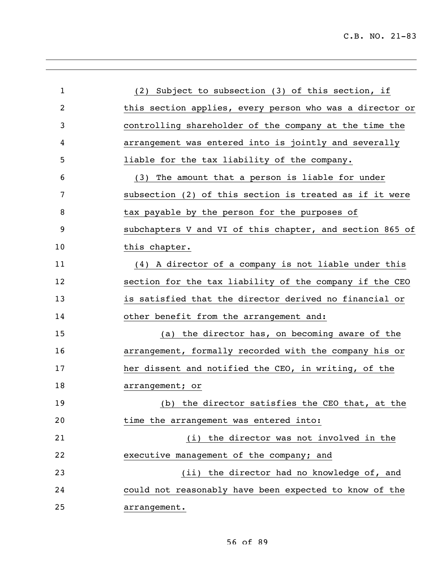| $\mathbf 1$ | (2) Subject to subsection (3) of this section, if        |
|-------------|----------------------------------------------------------|
| 2           | this section applies, every person who was a director or |
| 3           | controlling shareholder of the company at the time the   |
| 4           | arrangement was entered into is jointly and severally    |
| 5           | liable for the tax liability of the company.             |
| 6           | (3) The amount that a person is liable for under         |
| 7           | subsection (2) of this section is treated as if it were  |
| 8           | tax payable by the person for the purposes of            |
| 9           | subchapters V and VI of this chapter, and section 865 of |
| 10          | this chapter.                                            |
| 11          | (4) A director of a company is not liable under this     |
| 12          | section for the tax liability of the company if the CEO  |
| 13          | is satisfied that the director derived no financial or   |
| 14          | other benefit from the arrangement and:                  |
| 15          | (a) the director has, on becoming aware of the           |
| 16          | arrangement, formally recorded with the company his or   |
| 17          | her dissent and notified the CEO, in writing, of the     |
| 18          | arrangement; or                                          |
| 19          | (b) the director satisfies the CEO that, at the          |
| 20          | time the arrangement was entered into:                   |
| 21          | (i) the director was not involved in the                 |
| 22          | executive management of the company; and                 |
| 23          | (ii) the director had no knowledge of, and               |
| 24          | could not reasonably have been expected to know of the   |
| 25          | arrangement.                                             |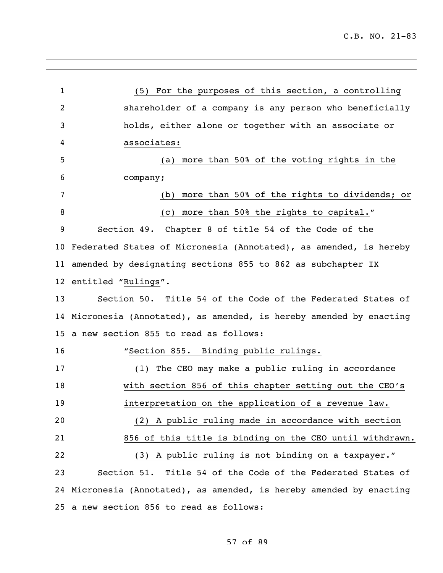| $\mathbf{1}$    | (5) For the purposes of this section, a controlling                  |
|-----------------|----------------------------------------------------------------------|
| $\overline{2}$  | shareholder of a company is any person who beneficially              |
| 3               | holds, either alone or together with an associate or                 |
| 4               | associates:                                                          |
| 5               | more than 50% of the voting rights in the<br>(a)                     |
| 6               | company;                                                             |
| 7               | more than 50% of the rights to dividends; or<br>(b)                  |
| 8               | more than 50% the rights to capital."<br>(C)                         |
| 9               | Section 49. Chapter 8 of title 54 of the Code of the                 |
|                 | 10 Federated States of Micronesia (Annotated), as amended, is hereby |
| 11              | amended by designating sections 855 to 862 as subchapter IX          |
|                 | 12 entitled "Rulings".                                               |
| 13              | Section 50. Title 54 of the Code of the Federated States of          |
| 14              | Micronesia (Annotated), as amended, is hereby amended by enacting    |
| 15 <sub>2</sub> | a new section 855 to read as follows:                                |
| 16              | "Section 855. Binding public rulings.                                |
| 17              | The CEO may make a public ruling in accordance<br>(1)                |
| 18              | with section 856 of this chapter setting out the CEO's               |
| 19              | interpretation on the application of a revenue law.                  |
| 20              | (2) A public ruling made in accordance with section                  |
| 21              | 856 of this title is binding on the CEO until withdrawn.             |
| 22              | (3) A public ruling is not binding on a taxpayer."                   |
| 23              | Section 51. Title 54 of the Code of the Federated States of          |
|                 | 24 Micronesia (Annotated), as amended, is hereby amended by enacting |
|                 | 25 a new section 856 to read as follows:                             |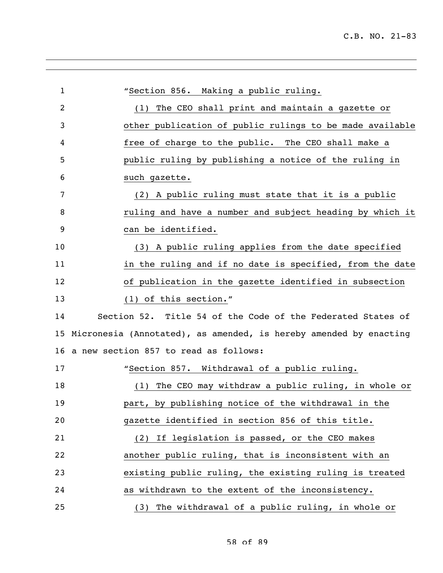| $\mathbf{1}$   | "Section 856. Making a public ruling.                             |
|----------------|-------------------------------------------------------------------|
| $\overline{2}$ | The CEO shall print and maintain a gazette or<br>(1)              |
| 3              | other publication of public rulings to be made available          |
| 4              | free of charge to the public. The CEO shall make a                |
| 5              | public ruling by publishing a notice of the ruling in             |
| 6              | such gazette.                                                     |
| 7              | (2) A public ruling must state that it is a public                |
| 8              | ruling and have a number and subject heading by which it          |
| 9              | can be identified.                                                |
| 10             | (3) A public ruling applies from the date specified               |
| 11             | in the ruling and if no date is specified, from the date          |
| 12             | of publication in the gazette identified in subsection            |
| 13             | (1) of this section."                                             |
| 14             | Section 52. Title 54 of the Code of the Federated States of       |
| 15             | Micronesia (Annotated), as amended, is hereby amended by enacting |
| 16             | a new section 857 to read as follows:                             |
| 17             | "Section 857. Withdrawal of a public ruling.                      |
| 18             | The CEO may withdraw a public ruling, in whole or<br>(1)          |
| 19             | part, by publishing notice of the withdrawal in the               |
| 20             | gazette identified in section 856 of this title.                  |
| 21             | (2) If legislation is passed, or the CEO makes                    |
| 22             | another public ruling, that is inconsistent with an               |
| 23             | existing public ruling, the existing ruling is treated            |
| 24             | as withdrawn to the extent of the inconsistency.                  |
| 25             | The withdrawal of a public ruling, in whole or<br>(3)             |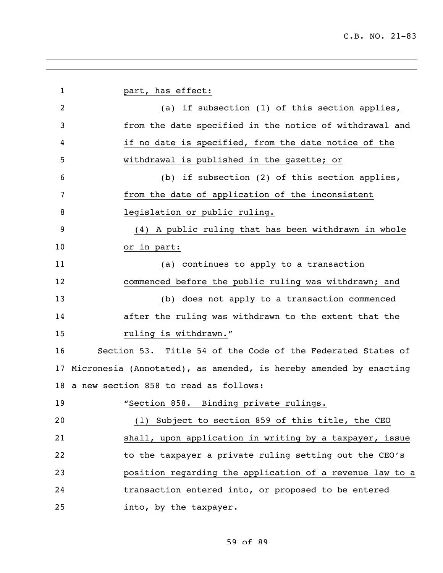| $\mathbf{1}$ | part, has effect:                                                 |
|--------------|-------------------------------------------------------------------|
| 2            | (a) if subsection (1) of this section applies,                    |
| 3            | from the date specified in the notice of withdrawal and           |
| 4            | if no date is specified, from the date notice of the              |
| 5            | withdrawal is published in the gazette; or                        |
| 6            | (b) if subsection (2) of this section applies,                    |
| 7            | from the date of application of the inconsistent                  |
| 8            | legislation or public ruling.                                     |
| 9            | (4) A public ruling that has been withdrawn in whole              |
| 10           | or in part:                                                       |
| 11           | (a) continues to apply to a transaction                           |
| 12           | commenced before the public ruling was withdrawn; and             |
| 13           | (b) does not apply to a transaction commenced                     |
| 14           | after the ruling was withdrawn to the extent that the             |
| 15           | ruling is withdrawn."                                             |
| 16           | Section 53. Title 54 of the Code of the Federated States of       |
| 17           | Micronesia (Annotated), as amended, is hereby amended by enacting |
|              | 18 a new section 858 to read as follows:                          |
| 19           | "Section 858. Binding private rulings.                            |
| 20           | (1) Subject to section 859 of this title, the CEO                 |
| 21           | shall, upon application in writing by a taxpayer, issue           |
| 22           | to the taxpayer a private ruling setting out the CEO's            |
| 23           | position regarding the application of a revenue law to a          |
| 24           | transaction entered into, or proposed to be entered               |
| 25           | into, by the taxpayer.                                            |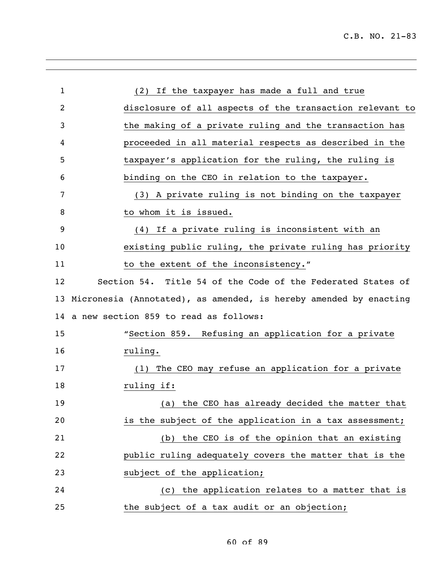| $\mathbf{1}$ | (2) If the taxpayer has made a full and true                      |
|--------------|-------------------------------------------------------------------|
| 2            | disclosure of all aspects of the transaction relevant to          |
| 3            | the making of a private ruling and the transaction has            |
| 4            | proceeded in all material respects as described in the            |
| 5            | taxpayer's application for the ruling, the ruling is              |
| 6            | binding on the CEO in relation to the taxpayer.                   |
| 7            | (3) A private ruling is not binding on the taxpayer               |
| 8            | to whom it is issued.                                             |
| 9            | (4) If a private ruling is inconsistent with an                   |
| 10           | existing public ruling, the private ruling has priority           |
| 11           | to the extent of the inconsistency."                              |
| 12           | Section 54. Title 54 of the Code of the Federated States of       |
| 13           | Micronesia (Annotated), as amended, is hereby amended by enacting |
| 14           | a new section 859 to read as follows:                             |
| 15           | "Section 859. Refusing an application for a private               |
| 16           | ruling.                                                           |
| 17           | The CEO may refuse an application for a private<br>(1)            |
| 18           | ruling if:                                                        |
| 19           | (a) the CEO has already decided the matter that                   |
| 20           | is the subject of the application in a tax assessment;            |
| 21           | the CEO is of the opinion that an existing<br>(b)                 |
| 22           | public ruling adequately covers the matter that is the            |
| 23           | subject of the application;                                       |
| 24           | (c) the application relates to a matter that is                   |
| 25           | the subject of a tax audit or an objection;                       |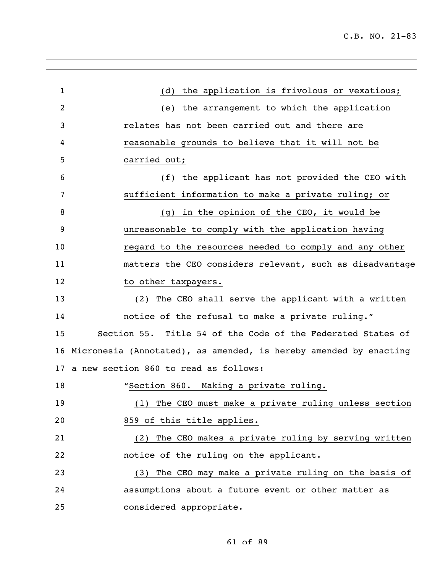C.B. NO. 21-83

| $\mathbf{1}$   | (d) the application is frivolous or vexatious;                    |
|----------------|-------------------------------------------------------------------|
| $\overline{2}$ | (e) the arrangement to which the application                      |
| 3              | relates has not been carried out and there are                    |
| 4              | reasonable grounds to believe that it will not be                 |
| 5              | carried out;                                                      |
| 6              | (f) the applicant has not provided the CEO with                   |
| 7              | sufficient information to make a private ruling; or               |
| 8              | (g) in the opinion of the CEO, it would be                        |
| 9              | unreasonable to comply with the application having                |
| 10             | regard to the resources needed to comply and any other            |
| 11             | matters the CEO considers relevant, such as disadvantage          |
| 12             | to other taxpayers.                                               |
| 13             | The CEO shall serve the applicant with a written<br>(2)           |
| 14             | notice of the refusal to make a private ruling."                  |
| 15             | Section 55. Title 54 of the Code of the Federated States of       |
| 16             | Micronesia (Annotated), as amended, is hereby amended by enacting |
|                | 17 a new section 860 to read as follows:                          |
| 18             | "Section 860. Making a private ruling.                            |
| 19             | (1) The CEO must make a private ruling unless section             |
| 20             | 859 of this title applies.                                        |
| 21             | The CEO makes a private ruling by serving written<br>(2)          |
| 22             | notice of the ruling on the applicant.                            |
| 23             | The CEO may make a private ruling on the basis of<br>(3)          |
| 24             | assumptions about a future event or other matter as               |
| 25             | considered appropriate.                                           |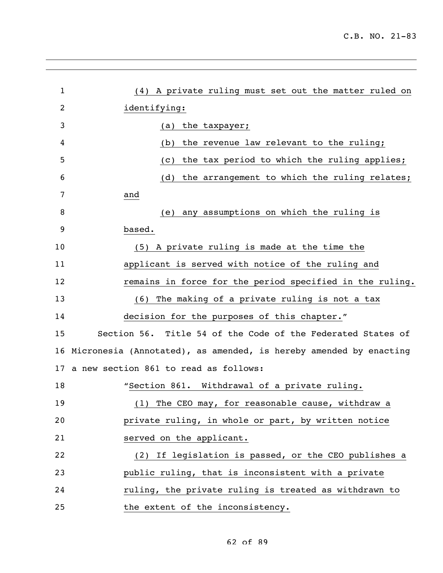| $\mathbf{1}$ | (4) A private ruling must set out the matter ruled on             |
|--------------|-------------------------------------------------------------------|
| 2            | identifying:                                                      |
| 3            | the taxpayer;<br>(a)                                              |
| 4            | the revenue law relevant to the ruling;<br>(b)                    |
| 5            | the tax period to which the ruling applies;<br>(C)                |
| 6            | the arrangement to which the ruling relates;<br>(d)               |
| 7            | and                                                               |
| 8            | any assumptions on which the ruling is<br>(e)                     |
| 9            | based.                                                            |
| 10           | (5) A private ruling is made at the time the                      |
| 11           | applicant is served with notice of the ruling and                 |
| 12           | remains in force for the period specified in the ruling.          |
| 13           | The making of a private ruling is not a tax<br>(6)                |
| 14           | decision for the purposes of this chapter."                       |
| 15           | Section 56. Title 54 of the Code of the Federated States of       |
| 16           | Micronesia (Annotated), as amended, is hereby amended by enacting |
| 17           | a new section 861 to read as follows:                             |
| 18           | "Section 861. Withdrawal of a private ruling.                     |
| 19           | (1) The CEO may, for reasonable cause, withdraw a                 |
| 20           | private ruling, in whole or part, by written notice               |
| 21           | served on the applicant.                                          |
| 22           | (2) If legislation is passed, or the CEO publishes a              |
| 23           | public ruling, that is inconsistent with a private                |
| 24           | ruling, the private ruling is treated as withdrawn to             |
| 25           | the extent of the inconsistency.                                  |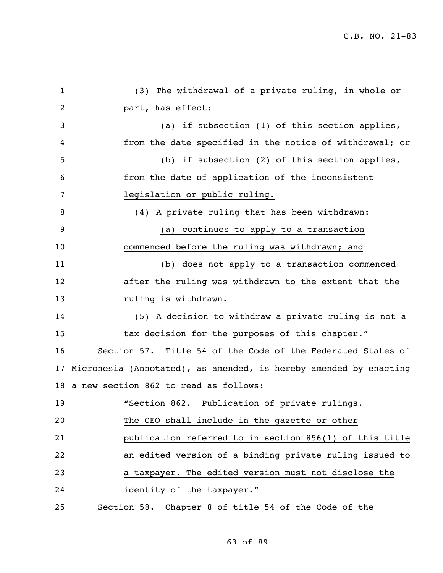| $\mathbf{1}$   | (3) The withdrawal of a private ruling, in whole or               |
|----------------|-------------------------------------------------------------------|
| $\overline{2}$ | part, has effect:                                                 |
| 3              | (a) if subsection (1) of this section applies,                    |
| 4              | from the date specified in the notice of withdrawal; or           |
| 5              | if subsection (2) of this section applies,<br>(b)                 |
| 6              | from the date of application of the inconsistent                  |
| 7              | legislation or public ruling.                                     |
| 8              | (4) A private ruling that has been withdrawn:                     |
| 9              | (a) continues to apply to a transaction                           |
| 10             | commenced before the ruling was withdrawn; and                    |
| 11             | does not apply to a transaction commenced<br>(b)                  |
| 12             | after the ruling was withdrawn to the extent that the             |
| 13             | ruling is withdrawn.                                              |
| 14             | (5) A decision to withdraw a private ruling is not a              |
| 15             | tax decision for the purposes of this chapter."                   |
| 16             | Section 57. Title 54 of the Code of the Federated States of       |
| 17             | Micronesia (Annotated), as amended, is hereby amended by enacting |
|                | 18 a new section 862 to read as follows:                          |
| 19             | "Section 862. Publication of private rulings.                     |
| 20             | The CEO shall include in the gazette or other                     |
| 21             | publication referred to in section 856(1) of this title           |
| 22             | an edited version of a binding private ruling issued to           |
| 23             | a taxpayer. The edited version must not disclose the              |
| 24             | identity of the taxpayer."                                        |
| 25             | Section 58. Chapter 8 of title 54 of the Code of the              |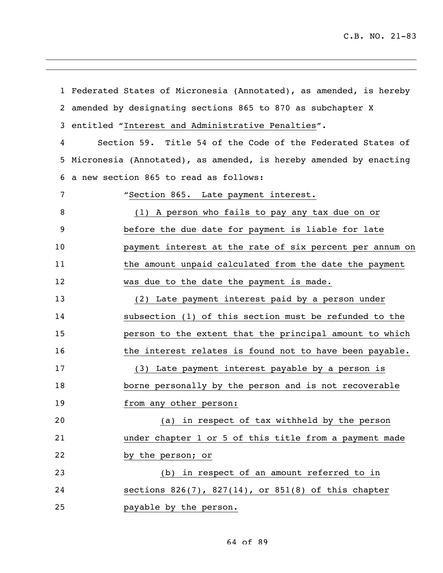| $\mathbf{1}$ | Federated States of Micronesia (Annotated), as amended, is hereby |
|--------------|-------------------------------------------------------------------|
| 2            | amended by designating sections 865 to 870 as subchapter X        |
| 3            | entitled "Interest and Administrative Penalties".                 |
| 4            | Section 59. Title 54 of the Code of the Federated States of       |
| 5            | Micronesia (Annotated), as amended, is hereby amended by enacting |
| 6            | a new section 865 to read as follows:                             |
| 7            | "Section 865. Late payment interest.                              |
| 8            | (1) A person who fails to pay any tax due on or                   |
| 9            | before the due date for payment is liable for late                |
| 10           | payment interest at the rate of six percent per annum on          |
| 11           | the amount unpaid calculated from the date the payment            |
| 12           | was due to the date the payment is made.                          |
| 13           | (2) Late payment interest paid by a person under                  |
| 14           | subsection (1) of this section must be refunded to the            |
| 15           | person to the extent that the principal amount to which           |
| 16           | the interest relates is found not to have been payable.           |
| 17           | (3) Late payment interest payable by a person is                  |
| 18           | borne personally by the person and is not recoverable             |
| 19           | from any other person:                                            |
| 20           | (a) in respect of tax withheld by the person                      |
| 21           | under chapter 1 or 5 of this title from a payment made            |
| 22           | by the person; or                                                 |
| 23           | (b) in respect of an amount referred to in                        |
| 24           | sections $826(7)$ , $827(14)$ , or $851(8)$ of this chapter       |
| 25           | payable by the person.                                            |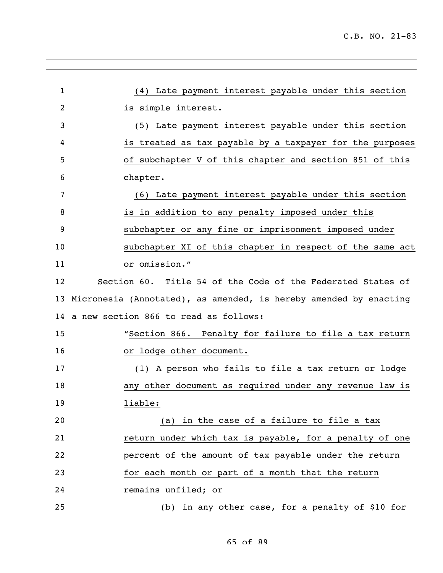| $\mathbf 1$ | (4) Late payment interest payable under this section              |
|-------------|-------------------------------------------------------------------|
| 2           | is simple interest.                                               |
| 3           | (5) Late payment interest payable under this section              |
| 4           | is treated as tax payable by a taxpayer for the purposes          |
| 5           | of subchapter V of this chapter and section 851 of this           |
| 6           | chapter.                                                          |
| 7           | (6) Late payment interest payable under this section              |
| 8           | is in addition to any penalty imposed under this                  |
| 9           | subchapter or any fine or imprisonment imposed under              |
| 10          | subchapter XI of this chapter in respect of the same act          |
| 11          | or omission."                                                     |
| 12          | Section 60. Title 54 of the Code of the Federated States of       |
| 13          | Micronesia (Annotated), as amended, is hereby amended by enacting |
| 14          | a new section 866 to read as follows:                             |
| 15          | "Section 866. Penalty for failure to file a tax return            |
| 16          | or lodge other document.                                          |
| 17          | (1) A person who fails to file a tax return or lodge              |
| 18          | any other document as required under any revenue law is           |
| 19          | liable:                                                           |
| 20          | (a) in the case of a failure to file a tax                        |
| 21          | return under which tax is payable, for a penalty of one           |
| 22          | percent of the amount of tax payable under the return             |
| 23          | for each month or part of a month that the return                 |
| 24          | remains unfiled; or                                               |
| 25          | (b) in any other case, for a penalty of \$10 for                  |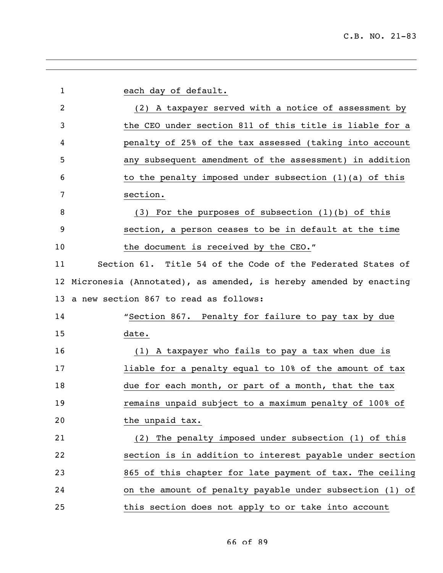| $\mathbf 1$ | each day of default.                                              |
|-------------|-------------------------------------------------------------------|
| 2           | (2) A taxpayer served with a notice of assessment by              |
| 3           | the CEO under section 811 of this title is liable for a           |
| 4           | penalty of 25% of the tax assessed (taking into account           |
| 5           | any subsequent amendment of the assessment) in addition           |
| 6           | to the penalty imposed under subsection $(1)(a)$ of this          |
| 7           | section.                                                          |
| 8           | $(3)$ For the purposes of subsection $(1)(b)$ of this             |
| 9           | section, a person ceases to be in default at the time             |
| 10          | the document is received by the CEO."                             |
| 11          | Section 61. Title 54 of the Code of the Federated States of       |
| 12          | Micronesia (Annotated), as amended, is hereby amended by enacting |
| 13          | a new section 867 to read as follows:                             |
| 14          | "Section 867. Penalty for failure to pay tax by due               |
| 15          | date.                                                             |
| 16          | (1) A taxpayer who fails to pay a tax when due is                 |
| 17          | liable for a penalty equal to 10% of the amount of tax            |
| 18          | due for each month, or part of a month, that the tax              |
| 19          | remains unpaid subject to a maximum penalty of 100% of            |
| 20          | the unpaid tax.                                                   |
| 21          | (2) The penalty imposed under subsection (1) of this              |
| 22          | section is in addition to interest payable under section          |
| 23          | 865 of this chapter for late payment of tax. The ceiling          |
| 24          | on the amount of penalty payable under subsection (1) of          |
| 25          | this section does not apply to or take into account               |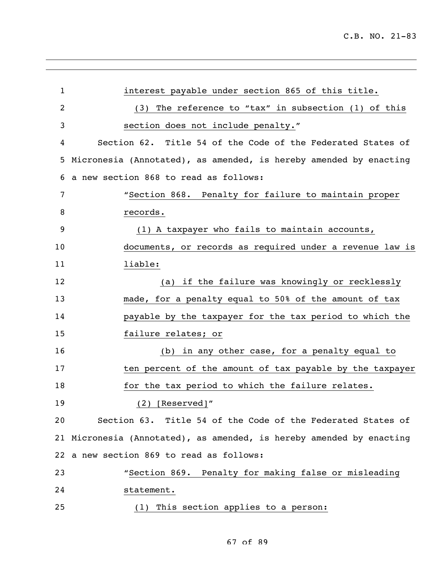| $\mathbf{1}$ | interest payable under section 865 of this title.                    |
|--------------|----------------------------------------------------------------------|
| 2            | (3) The reference to "tax" in subsection (1) of this                 |
| 3            | section does not include penalty."                                   |
| 4            | Section 62. Title 54 of the Code of the Federated States of          |
| 5            | Micronesia (Annotated), as amended, is hereby amended by enacting    |
| 6            | a new section 868 to read as follows:                                |
| 7            | "Section 868. Penalty for failure to maintain proper                 |
| 8            | records.                                                             |
| 9            | (1) A taxpayer who fails to maintain accounts,                       |
| 10           | documents, or records as required under a revenue law is             |
| 11           | liable:                                                              |
| 12           | (a) if the failure was knowingly or recklessly                       |
| 13           | made, for a penalty equal to 50% of the amount of tax                |
| 14           | payable by the taxpayer for the tax period to which the              |
| 15           | failure relates; or                                                  |
| 16           | (b) in any other case, for a penalty equal to                        |
| 17           | ten percent of the amount of tax payable by the taxpayer             |
| 18           | for the tax period to which the failure relates.                     |
| 19           | $(2)$ [Reserved]"                                                    |
| 20           | Section 63. Title 54 of the Code of the Federated States of          |
|              | 21 Micronesia (Annotated), as amended, is hereby amended by enacting |
|              | 22 a new section 869 to read as follows:                             |
| 23           | "Section 869. Penalty for making false or misleading                 |
| 24           | statement.                                                           |
| 25           | (1) This section applies to a person:                                |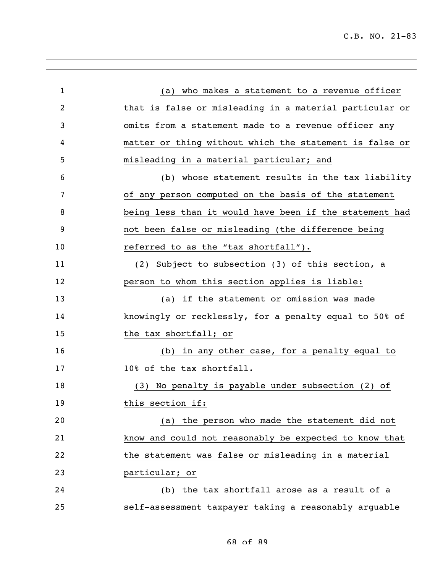| $\mathbf 1$ | (a) who makes a statement to a revenue officer          |
|-------------|---------------------------------------------------------|
| 2           | that is false or misleading in a material particular or |
| 3           | omits from a statement made to a revenue officer any    |
| 4           | matter or thing without which the statement is false or |
| 5           | misleading in a material particular; and                |
| 6           | (b) whose statement results in the tax liability        |
| 7           | of any person computed on the basis of the statement    |
| 8           | being less than it would have been if the statement had |
| 9           | not been false or misleading (the difference being      |
| 10          | referred to as the "tax shortfall").                    |
| 11          | (2) Subject to subsection (3) of this section, a        |
| 12          | person to whom this section applies is liable:          |
| 13          | (a) if the statement or omission was made               |
| 14          | knowingly or recklessly, for a penalty equal to 50% of  |
| 15          | the tax shortfall; or                                   |
| 16          | (b) in any other case, for a penalty equal to           |
| 17          | 10% of the tax shortfall.                               |
| 18          | No penalty is payable under subsection (2) of<br>(3)    |
| 19          | this section if:                                        |
| 20          | (a) the person who made the statement did not           |
| 21          | know and could not reasonably be expected to know that  |
| 22          | the statement was false or misleading in a material     |
| 23          | particular; or                                          |
| 24          | the tax shortfall arose as a result of a<br>(b)         |
| 25          | self-assessment taxpayer taking a reasonably arguable   |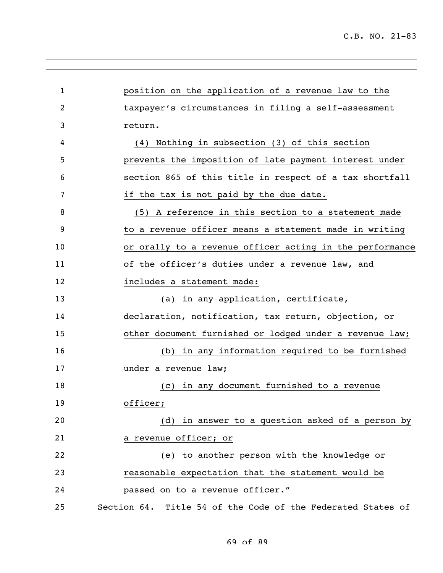| $\mathbf{1}$ | position on the application of a revenue law to the         |
|--------------|-------------------------------------------------------------|
| 2            | taxpayer's circumstances in filing a self-assessment        |
| 3            | return.                                                     |
| 4            | (4) Nothing in subsection (3) of this section               |
| 5            | prevents the imposition of late payment interest under      |
| 6            | section 865 of this title in respect of a tax shortfall     |
| 7            | if the tax is not paid by the due date.                     |
| 8            | (5) A reference in this section to a statement made         |
| 9            | to a revenue officer means a statement made in writing      |
| 10           | or orally to a revenue officer acting in the performance    |
| 11           | of the officer's duties under a revenue law, and            |
| 12           | includes a statement made:                                  |
| 13           | (a) in any application, certificate,                        |
| 14           | declaration, notification, tax return, objection, or        |
| 15           | other document furnished or lodged under a revenue law;     |
| 16           | (b) in any information required to be furnished             |
| 17           | under a revenue law;                                        |
| 18           | in any document furnished to a revenue<br>(C)               |
| 19           | officer;                                                    |
| 20           | (d) in answer to a question asked of a person by            |
| 21           | a revenue officer; or                                       |
| 22           | to another person with the knowledge or<br>(e)              |
| 23           | reasonable expectation that the statement would be          |
| 24           | passed on to a revenue officer."                            |
| 25           | Section 64. Title 54 of the Code of the Federated States of |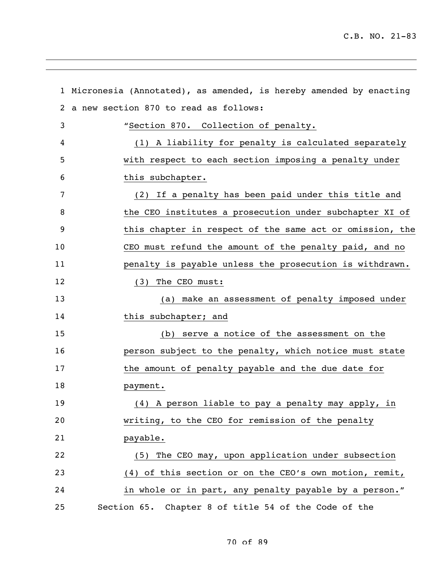|              | 1 Micronesia (Annotated), as amended, is hereby amended by enacting |
|--------------|---------------------------------------------------------------------|
| $\mathbf{2}$ | a new section 870 to read as follows:                               |
| 3            | "Section 870. Collection of penalty.                                |
| 4            | (1) A liability for penalty is calculated separately                |
| 5            | with respect to each section imposing a penalty under               |
| 6            | this subchapter.                                                    |
| 7            | (2) If a penalty has been paid under this title and                 |
| 8            | the CEO institutes a prosecution under subchapter XI of             |
| 9            | this chapter in respect of the same act or omission, the            |
| 10           | CEO must refund the amount of the penalty paid, and no              |
| 11           | penalty is payable unless the prosecution is withdrawn.             |
| 12           | (3) The CEO must:                                                   |
| 13           | (a) make an assessment of penalty imposed under                     |
| 14           | this subchapter; and                                                |
| 15           | (b) serve a notice of the assessment on the                         |
| 16           | person subject to the penalty, which notice must state              |
| 17           | the amount of penalty payable and the due date for                  |
| 18           | payment.                                                            |
| 19           | (4) A person liable to pay a penalty may apply, in                  |
| 20           | writing, to the CEO for remission of the penalty                    |
| 21           | payable.                                                            |
| 22           | (5) The CEO may, upon application under subsection                  |
| 23           | (4) of this section or on the CEO's own motion, remit,              |
| 24           | in whole or in part, any penalty payable by a person."              |
| 25           | Section 65. Chapter 8 of title 54 of the Code of the                |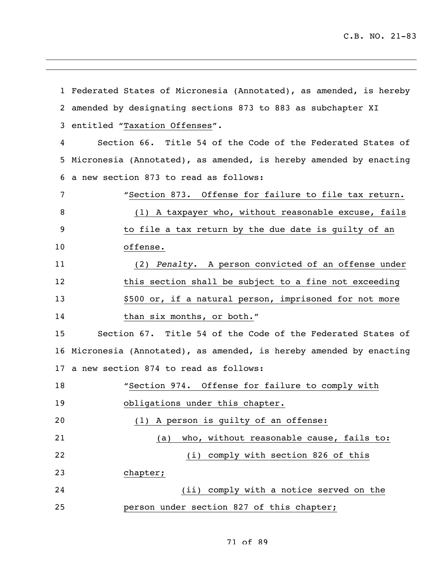Federated States of Micronesia (Annotated), as amended, is hereby amended by designating sections 873 to 883 as subchapter XI entitled "Taxation Offenses". Section 66. Title 54 of the Code of the Federated States of Micronesia (Annotated), as amended, is hereby amended by enacting a new section 873 to read as follows: "Section 873. Offense for failure to file tax return. (1) A taxpayer who, without reasonable excuse, fails to file a tax return by the due date is guilty of an offense. (2) *Penalty.* A person convicted of an offense under this section shall be subject to a fine not exceeding \$500 or, if a natural person, imprisoned for not more 14 than six months, or both." Section 67. Title 54 of the Code of the Federated States of Micronesia (Annotated), as amended, is hereby amended by enacting a new section 874 to read as follows: "Section 974. Offense for failure to comply with obligations under this chapter. (1) A person is guilty of an offense: (a) who, without reasonable cause, fails to: (i) comply with section 826 of this chapter; (ii) comply with a notice served on the person under section 827 of this chapter;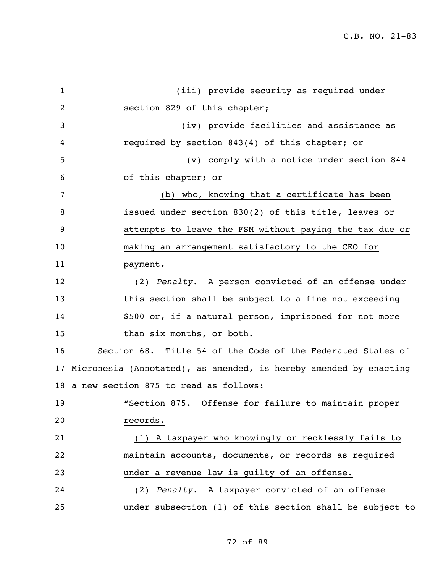| $\mathbf{1}$ | (iii) provide security as required under                          |
|--------------|-------------------------------------------------------------------|
| 2            | section 829 of this chapter;                                      |
| 3            | (iv) provide facilities and assistance as                         |
| 4            | required by section 843(4) of this chapter; or                    |
| 5            | (v) comply with a notice under section 844                        |
| 6            | of this chapter; or                                               |
| 7            | (b) who, knowing that a certificate has been                      |
| 8            | issued under section 830(2) of this title, leaves or              |
| 9            | attempts to leave the FSM without paying the tax due or           |
| 10           | making an arrangement satisfactory to the CEO for                 |
| 11           | payment.                                                          |
| 12           | (2) Penalty. A person convicted of an offense under               |
| 13           | this section shall be subject to a fine not exceeding             |
| 14           | \$500 or, if a natural person, imprisoned for not more            |
| 15           | than six months, or both.                                         |
| 16           | Section 68. Title 54 of the Code of the Federated States of       |
| 17           | Micronesia (Annotated), as amended, is hereby amended by enacting |
|              | 18 a new section 875 to read as follows:                          |
| 19           | "Section 875. Offense for failure to maintain proper              |
| 20           | records.                                                          |
| 21           | (1) A taxpayer who knowingly or recklessly fails to               |
| 22           | maintain accounts, documents, or records as required              |
| 23           | under a revenue law is guilty of an offense.                      |
| 24           | (2) Penalty. A taxpayer convicted of an offense                   |
| 25           | under subsection (1) of this section shall be subject to          |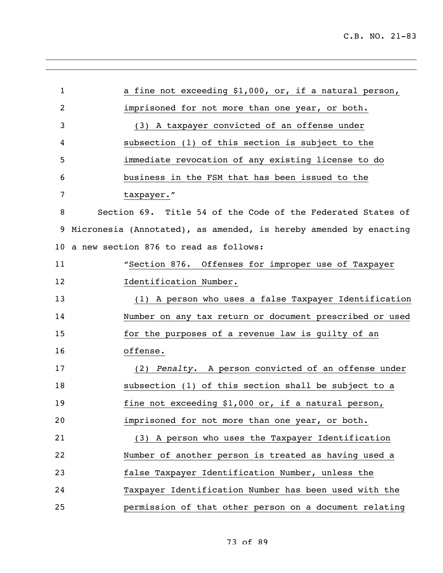| $\mathbf{1}$ | a fine not exceeding \$1,000, or, if a natural person,            |
|--------------|-------------------------------------------------------------------|
| 2            | imprisoned for not more than one year, or both.                   |
| 3            | (3) A taxpayer convicted of an offense under                      |
| 4            | subsection (1) of this section is subject to the                  |
| 5            | immediate revocation of any existing license to do                |
| 6            | business in the FSM that has been issued to the                   |
| 7            | taxpayer."                                                        |
| 8            | Section 69. Title 54 of the Code of the Federated States of       |
| 9            | Micronesia (Annotated), as amended, is hereby amended by enacting |
| 10           | a new section 876 to read as follows:                             |
| 11           | "Section 876. Offenses for improper use of Taxpayer               |
| 12           | Identification Number.                                            |
| 13           | (1) A person who uses a false Taxpayer Identification             |
| 14           | Number on any tax return or document prescribed or used           |
| 15           | for the purposes of a revenue law is guilty of an                 |
| 16           | offense.                                                          |
| 17           | (2) Penalty. A person convicted of an offense under               |
| 18           | subsection (1) of this section shall be subject to a              |
| 19           | fine not exceeding \$1,000 or, if a natural person,               |
| 20           | imprisoned for not more than one year, or both.                   |
| 21           | (3) A person who uses the Taxpayer Identification                 |
| 22           | Number of another person is treated as having used a              |
| 23           | false Taxpayer Identification Number, unless the                  |
| 24           | Taxpayer Identification Number has been used with the             |
| 25           | permission of that other person on a document relating            |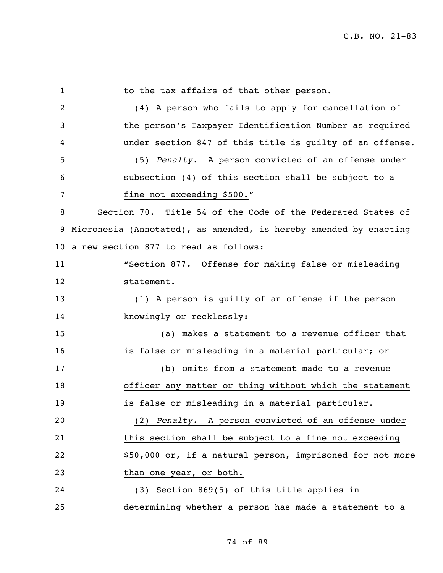| $\mathbf{1}$ | to the tax affairs of that other person.                          |
|--------------|-------------------------------------------------------------------|
| 2            | (4) A person who fails to apply for cancellation of               |
| 3            | the person's Taxpayer Identification Number as required           |
| 4            | under section 847 of this title is guilty of an offense.          |
| 5            | (5) Penalty. A person convicted of an offense under               |
| 6            | subsection (4) of this section shall be subject to a              |
| 7            | fine not exceeding \$500."                                        |
| 8            | Section 70. Title 54 of the Code of the Federated States of       |
| 9            | Micronesia (Annotated), as amended, is hereby amended by enacting |
| 10           | a new section 877 to read as follows:                             |
| 11           | "Section 877. Offense for making false or misleading              |
| 12           | statement.                                                        |
| 13           | (1) A person is guilty of an offense if the person                |
| 14           | knowingly or recklessly:                                          |
| 15           | makes a statement to a revenue officer that<br>(a)                |
| 16           | is false or misleading in a material particular; or               |
| 17           | (b) omits from a statement made to a revenue                      |
| 18           | officer any matter or thing without which the statement           |
| 19           | is false or misleading in a material particular.                  |
| 20           | (2) Penalty. A person convicted of an offense under               |
| 21           | this section shall be subject to a fine not exceeding             |
| 22           | \$50,000 or, if a natural person, imprisoned for not more         |
| 23           | than one year, or both.                                           |
| 24           | (3) Section 869(5) of this title applies in                       |
| 25           | determining whether a person has made a statement to a            |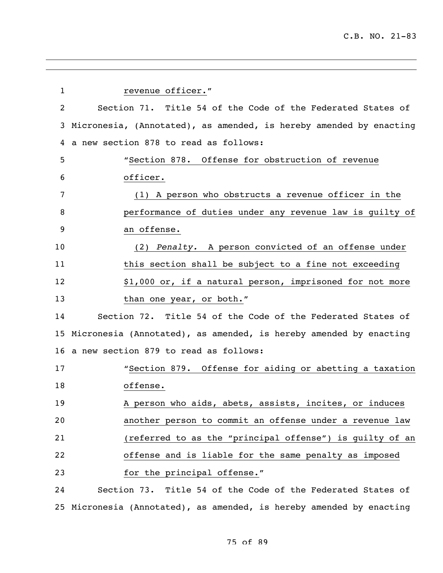| $\mathbf 1$ | revenue officer."                                                    |
|-------------|----------------------------------------------------------------------|
| 2           | Section 71. Title 54 of the Code of the Federated States of          |
| 3           | Micronesia, (Annotated), as amended, is hereby amended by enacting   |
| 4           | a new section 878 to read as follows:                                |
| 5           | "Section 878. Offense for obstruction of revenue                     |
| 6           | officer.                                                             |
| 7           | (1) A person who obstructs a revenue officer in the                  |
| 8           | performance of duties under any revenue law is guilty of             |
| 9           | an offense.                                                          |
| 10          | (2) Penalty. A person convicted of an offense under                  |
| 11          | this section shall be subject to a fine not exceeding                |
| 12          | \$1,000 or, if a natural person, imprisoned for not more             |
| 13          | than one year, or both."                                             |
| 14          | Section 72. Title 54 of the Code of the Federated States of          |
| 15          | Micronesia (Annotated), as amended, is hereby amended by enacting    |
| 16          | a new section 879 to read as follows:                                |
| 17          | "Section 879. Offense for aiding or abetting a taxation              |
| 18          | offense.                                                             |
| 19          | A person who aids, abets, assists, incites, or induces               |
| 20          | another person to commit an offense under a revenue law              |
| 21          | (referred to as the "principal offense") is guilty of an             |
| 22          | offense and is liable for the same penalty as imposed                |
| 23          | for the principal offense."                                          |
| 24          | Section 73. Title 54 of the Code of the Federated States of          |
|             | 25 Micronesia (Annotated), as amended, is hereby amended by enacting |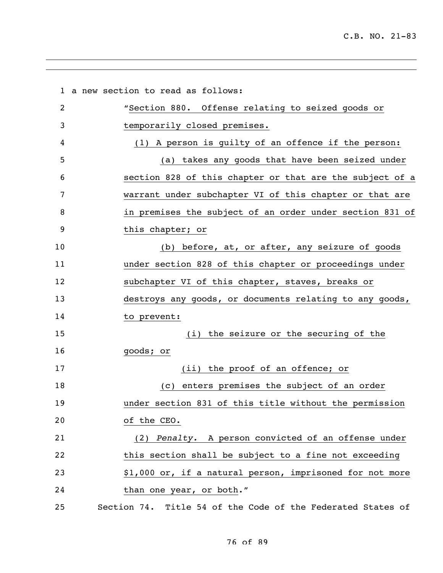a new section to read as follows: "Section 880. Offense relating to seized goods or temporarily closed premises. (1) A person is guilty of an offence if the person: (a) takes any goods that have been seized under section 828 of this chapter or that are the subject of a warrant under subchapter VI of this chapter or that are in premises the subject of an order under section 831 of this chapter; or (b) before, at, or after, any seizure of goods under section 828 of this chapter or proceedings under subchapter VI of this chapter, staves, breaks or destroys any goods, or documents relating to any goods, to prevent: (i) the seizure or the securing of the goods; or 17 (ii) the proof of an offence; or (c) enters premises the subject of an order under section 831 of this title without the permission of the CEO. (2) *Penalty.* A person convicted of an offense under this section shall be subject to a fine not exceeding \$1,000 or, if a natural person, imprisoned for not more 24 than one year, or both." Section 74. Title 54 of the Code of the Federated States of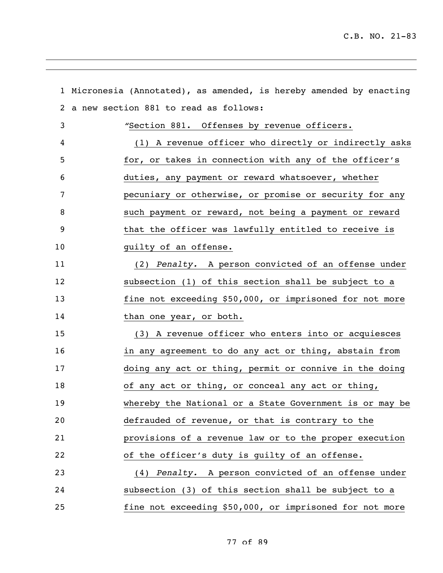|    | 1 Micronesia (Annotated), as amended, is hereby amended by enacting |
|----|---------------------------------------------------------------------|
|    | 2 a new section 881 to read as follows:                             |
| 3  | "Section 881. Offenses by revenue officers.                         |
| 4  | (1) A revenue officer who directly or indirectly asks               |
| 5  | for, or takes in connection with any of the officer's               |
| 6  | duties, any payment or reward whatsoever, whether                   |
| 7  | pecuniary or otherwise, or promise or security for any              |
| 8  | such payment or reward, not being a payment or reward               |
| 9  | that the officer was lawfully entitled to receive is                |
| 10 | guilty of an offense.                                               |
| 11 | (2) Penalty. A person convicted of an offense under                 |
| 12 | subsection (1) of this section shall be subject to a                |
| 13 | fine not exceeding \$50,000, or imprisoned for not more             |
| 14 | than one year, or both.                                             |
| 15 | (3) A revenue officer who enters into or acquiesces                 |
| 16 | in any agreement to do any act or thing, abstain from               |
| 17 | doing any act or thing, permit or connive in the doing              |
| 18 | of any act or thing, or conceal any act or thing,                   |
| 19 | whereby the National or a State Government is or may be             |
| 20 | defrauded of revenue, or that is contrary to the                    |
| 21 | provisions of a revenue law or to the proper execution              |
| 22 | of the officer's duty is guilty of an offense.                      |
| 23 | (4) Penalty. A person convicted of an offense under                 |
| 24 | subsection (3) of this section shall be subject to a                |
| 25 | fine not exceeding \$50,000, or imprisoned for not more             |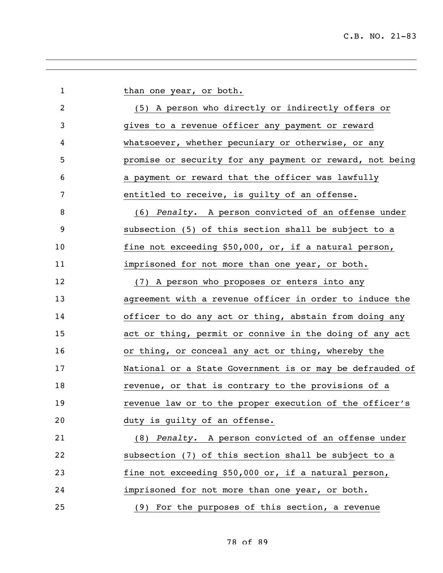| $\mathbf 1$    | than one year, or both.                                  |
|----------------|----------------------------------------------------------|
| $\overline{2}$ | (5) A person who directly or indirectly offers or        |
| 3              | gives to a revenue officer any payment or reward         |
| 4              | whatsoever, whether pecuniary or otherwise, or any       |
| 5              | promise or security for any payment or reward, not being |
| 6              | a payment or reward that the officer was lawfully        |
| 7              | entitled to receive, is guilty of an offense.            |
| 8              | (6) Penalty. A person convicted of an offense under      |
| 9              | subsection (5) of this section shall be subject to a     |
| 10             | fine not exceeding \$50,000, or, if a natural person,    |
| 11             | imprisoned for not more than one year, or both.          |
| 12             | (7) A person who proposes or enters into any             |
| 13             | agreement with a revenue officer in order to induce the  |
| 14             | officer to do any act or thing, abstain from doing any   |
| 15             | act or thing, permit or connive in the doing of any act  |
| 16             | or thing, or conceal any act or thing, whereby the       |
| 17             | National or a State Government is or may be defrauded of |
| 18             | revenue, or that is contrary to the provisions of a      |
| 19             | revenue law or to the proper execution of the officer's  |
| 20             | duty is guilty of an offense.                            |
| 21             | (8) Penalty. A person convicted of an offense under      |
| 22             | subsection (7) of this section shall be subject to a     |
| 23             | fine not exceeding \$50,000 or, if a natural person,     |
| 24             | imprisoned for not more than one year, or both.          |
| 25             | (9) For the purposes of this section, a revenue          |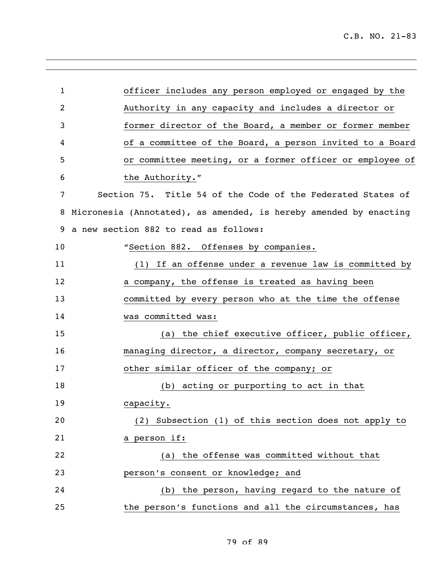| 1  | officer includes any person employed or engaged by the            |
|----|-------------------------------------------------------------------|
| 2  | Authority in any capacity and includes a director or              |
| 3  | former director of the Board, a member or former member           |
| 4  | of a committee of the Board, a person invited to a Board          |
| 5  | or committee meeting, or a former officer or employee of          |
| 6  | the Authority."                                                   |
| 7  | Section 75. Title 54 of the Code of the Federated States of       |
| 8  | Micronesia (Annotated), as amended, is hereby amended by enacting |
| 9  | a new section 882 to read as follows:                             |
| 10 | "Section 882. Offenses by companies.                              |
| 11 | (1) If an offense under a revenue law is committed by             |
| 12 | a company, the offense is treated as having been                  |
| 13 | committed by every person who at the time the offense             |
| 14 | was committed was:                                                |
| 15 | (a) the chief executive officer, public officer,                  |
| 16 | managing director, a director, company secretary, or              |
| 17 | other similar officer of the company; or                          |
| 18 | (b) acting or purporting to act in that                           |
| 19 | capacity.                                                         |
| 20 | (2) Subsection (1) of this section does not apply to              |
| 21 | a person if:                                                      |
| 22 | the offense was committed without that<br>(a)                     |
| 23 | person's consent or knowledge; and                                |
| 24 | (b) the person, having regard to the nature of                    |
| 25 | the person's functions and all the circumstances, has             |
|    |                                                                   |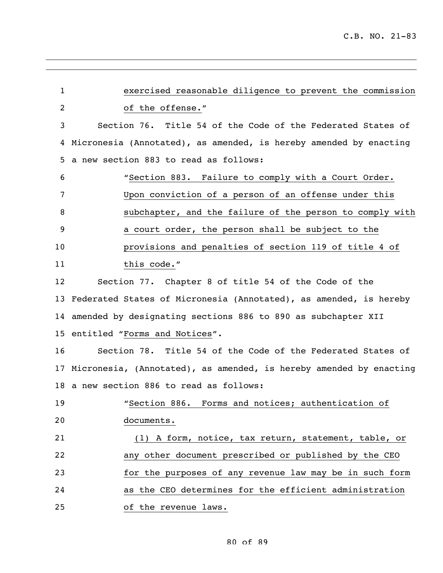| $\mathbf{1}$    | exercised reasonable diligence to prevent the commission              |
|-----------------|-----------------------------------------------------------------------|
| 2               | of the offense."                                                      |
| 3               | Section 76. Title 54 of the Code of the Federated States of           |
| 4               | Micronesia (Annotated), as amended, is hereby amended by enacting     |
| 5               | a new section 883 to read as follows:                                 |
| 6               | "Section 883. Failure to comply with a Court Order.                   |
| 7               | Upon conviction of a person of an offense under this                  |
| 8               | subchapter, and the failure of the person to comply with              |
| 9               | a court order, the person shall be subject to the                     |
| 10              | provisions and penalties of section 119 of title 4 of                 |
| 11              | this code."                                                           |
| 12              | Section 77. Chapter 8 of title 54 of the Code of the                  |
| 13 <sup>°</sup> | Federated States of Micronesia (Annotated), as amended, is hereby     |
|                 | 14 amended by designating sections 886 to 890 as subchapter XII       |
|                 | 15 entitled "Forms and Notices".                                      |
| 16              | Section 78. Title 54 of the Code of the Federated States of           |
|                 | 17 Micronesia, (Annotated), as amended, is hereby amended by enacting |
|                 | 18 a new section 886 to read as follows:                              |
| 19              | "Section 886. Forms and notices; authentication of                    |
| 20              | documents.                                                            |
| 21              | (1) A form, notice, tax return, statement, table, or                  |
| 22              | any other document prescribed or published by the CEO                 |
| 23              | for the purposes of any revenue law may be in such form               |
| 24              | as the CEO determines for the efficient administration                |
| 25              | of the revenue laws.                                                  |
|                 |                                                                       |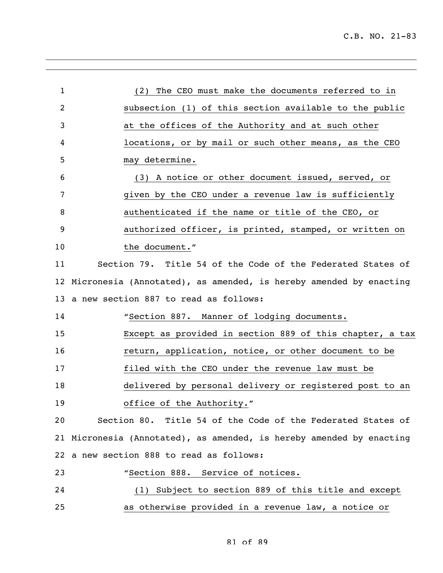| $\mathbf{1}$ | (2) The CEO must make the documents referred to in                   |
|--------------|----------------------------------------------------------------------|
| 2            | subsection (1) of this section available to the public               |
| 3            | at the offices of the Authority and at such other                    |
| 4            | locations, or by mail or such other means, as the CEO                |
| 5            | may determine.                                                       |
| 6            | (3) A notice or other document issued, served, or                    |
| 7            | given by the CEO under a revenue law is sufficiently                 |
| 8            | authenticated if the name or title of the CEO, or                    |
| 9            | authorized officer, is printed, stamped, or written on               |
| 10           | the document."                                                       |
| 11           | Section 79. Title 54 of the Code of the Federated States of          |
| 12           | Micronesia (Annotated), as amended, is hereby amended by enacting    |
| 13           | a new section 887 to read as follows:                                |
| 14           | "Section 887. Manner of lodging documents.                           |
| 15           | Except as provided in section 889 of this chapter, a tax             |
| 16           | return, application, notice, or other document to be                 |
| 17           | filed with the CEO under the revenue law must be                     |
| 18           | delivered by personal delivery or registered post to an              |
| 19           | office of the Authority."                                            |
| 20           | Section 80. Title 54 of the Code of the Federated States of          |
|              | 21 Micronesia (Annotated), as amended, is hereby amended by enacting |
|              | 22 a new section 888 to read as follows:                             |
| 23           | "Section 888. Service of notices.                                    |
| 24           | (1) Subject to section 889 of this title and except                  |
| 25           | as otherwise provided in a revenue law, a notice or                  |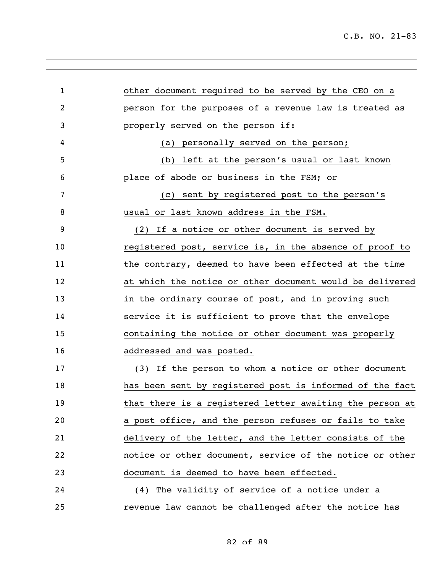| $\mathbf{1}$ | other document required to be served by the CEO on a     |
|--------------|----------------------------------------------------------|
| 2            | person for the purposes of a revenue law is treated as   |
| 3            | properly served on the person if:                        |
| 4            | (a) personally served on the person;                     |
| 5            | (b) left at the person's usual or last known             |
| 6            | place of abode or business in the FSM; or                |
| 7            | (c) sent by registered post to the person's              |
| 8            | usual or last known address in the FSM.                  |
| 9            | (2) If a notice or other document is served by           |
| 10           | registered post, service is, in the absence of proof to  |
| 11           | the contrary, deemed to have been effected at the time   |
| 12           | at which the notice or other document would be delivered |
| 13           | in the ordinary course of post, and in proving such      |
| 14           | service it is sufficient to prove that the envelope      |
| 15           | containing the notice or other document was properly     |
| 16           | addressed and was posted.                                |
| 17           | (3) If the person to whom a notice or other document     |
| 18           | has been sent by registered post is informed of the fact |
| 19           | that there is a registered letter awaiting the person at |
| 20           | a post office, and the person refuses or fails to take   |
| 21           | delivery of the letter, and the letter consists of the   |
| 22           | notice or other document, service of the notice or other |
| 23           | document is deemed to have been effected.                |
| 24           | (4) The validity of service of a notice under a          |
| 25           | revenue law cannot be challenged after the notice has    |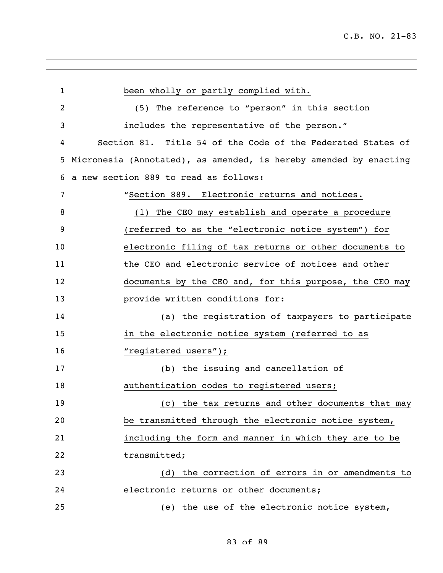| $\mathbf 1$ | been wholly or partly complied with.                              |
|-------------|-------------------------------------------------------------------|
| 2           | The reference to "person" in this section<br>(5)                  |
| 3           | includes the representative of the person."                       |
| 4           | Section 81. Title 54 of the Code of the Federated States of       |
| 5           | Micronesia (Annotated), as amended, is hereby amended by enacting |
| 6           | a new section 889 to read as follows:                             |
| 7           | "Section 889. Electronic returns and notices.                     |
| 8           | (1) The CEO may establish and operate a procedure                 |
| 9           | (referred to as the "electronic notice system") for               |
| 10          | electronic filing of tax returns or other documents to            |
| 11          | the CEO and electronic service of notices and other               |
| 12          | documents by the CEO and, for this purpose, the CEO may           |
| 13          | provide written conditions for:                                   |
| 14          | (a) the registration of taxpayers to participate                  |
| 15          | in the electronic notice system (referred to as                   |
| 16          | "registered users");                                              |
| 17          | (b) the issuing and cancellation of                               |
| 18          | authentication codes to registered users;                         |
| 19          | (c) the tax returns and other documents that may                  |
| 20          | be transmitted through the electronic notice system,              |
| 21          | including the form and manner in which they are to be             |
| 22          | transmitted;                                                      |
| 23          | (d) the correction of errors in or amendments to                  |
| 24          | electronic returns or other documents;                            |
| 25          | (e) the use of the electronic notice system,                      |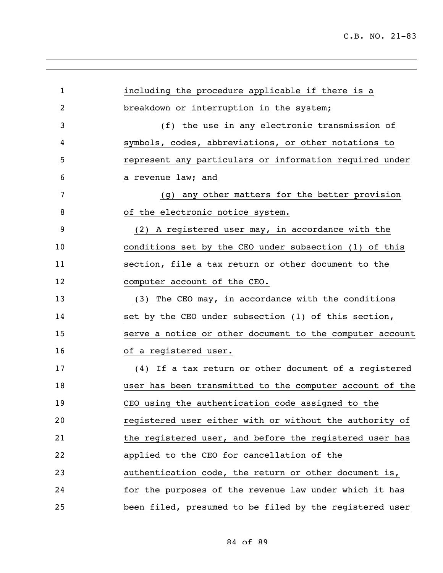| $\mathbf{1}$ | including the procedure applicable if there is a         |
|--------------|----------------------------------------------------------|
| 2            | breakdown or interruption in the system;                 |
| 3            | (f) the use in any electronic transmission of            |
| 4            | symbols, codes, abbreviations, or other notations to     |
| 5            | represent any particulars or information required under  |
| 6            | a revenue law; and                                       |
| 7            | (g) any other matters for the better provision           |
| 8            | of the electronic notice system.                         |
| 9            | (2) A registered user may, in accordance with the        |
| 10           | conditions set by the CEO under subsection (1) of this   |
| 11           | section, file a tax return or other document to the      |
| 12           | computer account of the CEO.                             |
| 13           | (3) The CEO may, in accordance with the conditions       |
| 14           | set by the CEO under subsection (1) of this section,     |
| 15           | serve a notice or other document to the computer account |
| 16           | of a registered user.                                    |
| 17           | (4) If a tax return or other document of a registered    |
| 18           | user has been transmitted to the computer account of the |
| 19           | CEO using the authentication code assigned to the        |
| 20           | registered user either with or without the authority of  |
| 21           | the registered user, and before the registered user has  |
| 22           | applied to the CEO for cancellation of the               |
| 23           | authentication code, the return or other document is,    |
| 24           | for the purposes of the revenue law under which it has   |
| 25           | been filed, presumed to be filed by the registered user  |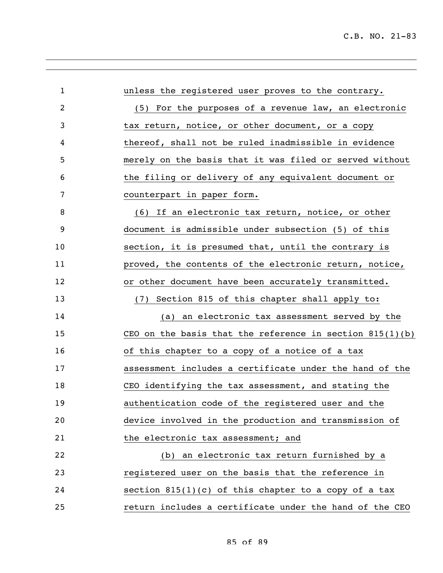| $\mathbf{1}$ | unless the registered user proves to the contrary.         |
|--------------|------------------------------------------------------------|
| 2            | (5) For the purposes of a revenue law, an electronic       |
| 3            | tax return, notice, or other document, or a copy           |
| 4            | thereof, shall not be ruled inadmissible in evidence       |
| 5            | merely on the basis that it was filed or served without    |
| 6            | the filing or delivery of any equivalent document or       |
| 7            | counterpart in paper form.                                 |
| 8            | (6) If an electronic tax return, notice, or other          |
| 9            | document is admissible under subsection (5) of this        |
| 10           | section, it is presumed that, until the contrary is        |
| 11           | proved, the contents of the electronic return, notice,     |
| 12           | or other document have been accurately transmitted.        |
| 13           | Section 815 of this chapter shall apply to:<br>(7)         |
| 14           | an electronic tax assessment served by the<br>(a)          |
| 15           | CEO on the basis that the reference in section $815(1)(b)$ |
| 16           | of this chapter to a copy of a notice of a tax             |
| 17           | assessment includes a certificate under the hand of the    |
| 18           | CEO identifying the tax assessment, and stating the        |
| 19           | authentication code of the registered user and the         |
| 20           | device involved in the production and transmission of      |
| 21           | the electronic tax assessment; and                         |
| 22           | (b) an electronic tax return furnished by a                |
| 23           | registered user on the basis that the reference in         |
| 24           | section $815(1)(c)$ of this chapter to a copy of a tax     |
| 25           | return includes a certificate under the hand of the CEO    |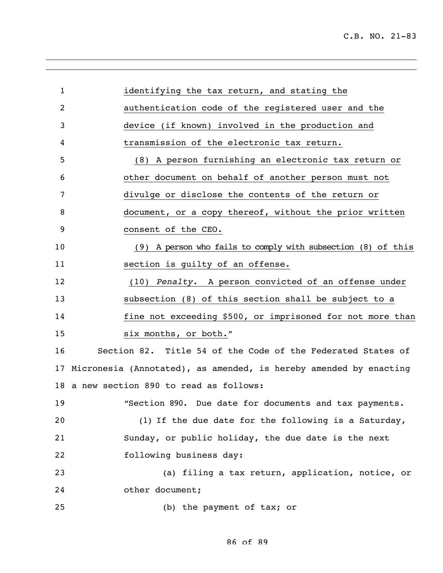| $\mathbf{1}$ | identifying the tax return, and stating the                       |
|--------------|-------------------------------------------------------------------|
| 2            | authentication code of the registered user and the                |
| 3            | device (if known) involved in the production and                  |
| 4            | transmission of the electronic tax return.                        |
| 5            | (8) A person furnishing an electronic tax return or               |
| 6            | other document on behalf of another person must not               |
| 7            | divulge or disclose the contents of the return or                 |
| 8            | document, or a copy thereof, without the prior written            |
| 9            | consent of the CEO.                                               |
| 10           | (9) A person who fails to comply with subsection (8) of this      |
| 11           | section is guilty of an offense.                                  |
| 12           | (10) Penalty. A person convicted of an offense under              |
| 13           | subsection (8) of this section shall be subject to a              |
| 14           | fine not exceeding \$500, or imprisoned for not more than         |
| 15           | six months, or both."                                             |
| 16           | Section 82. Title 54 of the Code of the Federated States of       |
| 17           | Micronesia (Annotated), as amended, is hereby amended by enacting |
|              | 18 a new section 890 to read as follows:                          |
| 19           | "Section 890. Due date for documents and tax payments.            |
| 20           | (1) If the due date for the following is a Saturday,              |
| 21           | Sunday, or public holiday, the due date is the next               |
| 22           | following business day:                                           |
| 23           | (a) filing a tax return, application, notice, or                  |
| 24           | other document;                                                   |
| 25           | (b) the payment of tax; or                                        |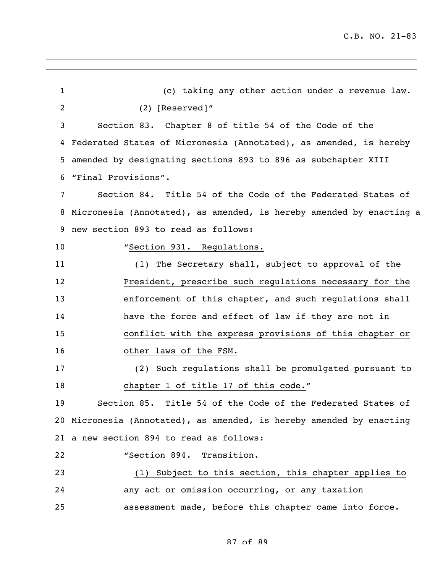(c) taking any other action under a revenue law. (2) [Reserved]" Section 83. Chapter 8 of title 54 of the Code of the Federated States of Micronesia (Annotated), as amended, is hereby amended by designating sections 893 to 896 as subchapter XIII "Final Provisions". Section 84. Title 54 of the Code of the Federated States of Micronesia (Annotated), as amended, is hereby amended by enacting a new section 893 to read as follows: 10 "Section 931. Regulations. (1) The Secretary shall, subject to approval of the President, prescribe such regulations necessary for the enforcement of this chapter, and such regulations shall have the force and effect of law if they are not in conflict with the express provisions of this chapter or other laws of the FSM. (2) Such regulations shall be promulgated pursuant to 18 chapter 1 of title 17 of this code." Section 85. Title 54 of the Code of the Federated States of Micronesia (Annotated), as amended, is hereby amended by enacting a new section 894 to read as follows: "Section 894. Transition. (1) Subject to this section, this chapter applies to any act or omission occurring, or any taxation assessment made, before this chapter came into force.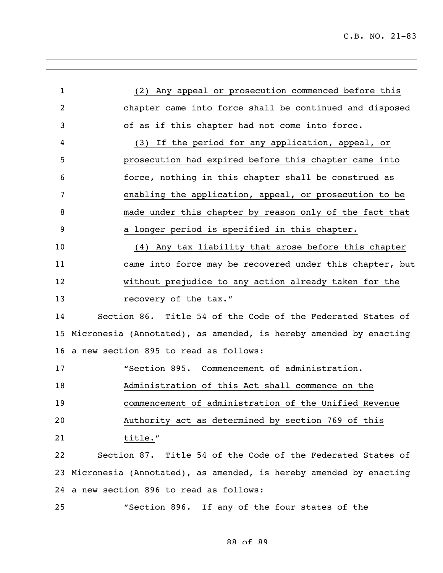| $\mathbf{1}$ | (2) Any appeal or prosecution commenced before this               |
|--------------|-------------------------------------------------------------------|
| 2            | chapter came into force shall be continued and disposed           |
| 3            | of as if this chapter had not come into force.                    |
| 4            | (3) If the period for any application, appeal, or                 |
| 5            | prosecution had expired before this chapter came into             |
| 6            | force, nothing in this chapter shall be construed as              |
| 7            | enabling the application, appeal, or prosecution to be            |
| 8            | made under this chapter by reason only of the fact that           |
| 9            | a longer period is specified in this chapter.                     |
| 10           | Any tax liability that arose before this chapter<br>(4)           |
| 11           | came into force may be recovered under this chapter, but          |
| 12           | without prejudice to any action already taken for the             |
| 13           | recovery of the tax."                                             |
| 14           | Section 86. Title 54 of the Code of the Federated States of       |
| 15           | Micronesia (Annotated), as amended, is hereby amended by enacting |
| 16           | a new section 895 to read as follows:                             |
| 17           | "Section 895. Commencement of administration.                     |
| 18           | Administration of this Act shall commence on the                  |
| 19           | commencement of administration of the Unified Revenue             |
| 20           | Authority act as determined by section 769 of this                |
| 21           | title."                                                           |
| 22           | Section 87. Title 54 of the Code of the Federated States of       |
| 23           | Micronesia (Annotated), as amended, is hereby amended by enacting |
|              |                                                                   |
|              | 24 a new section 896 to read as follows:                          |